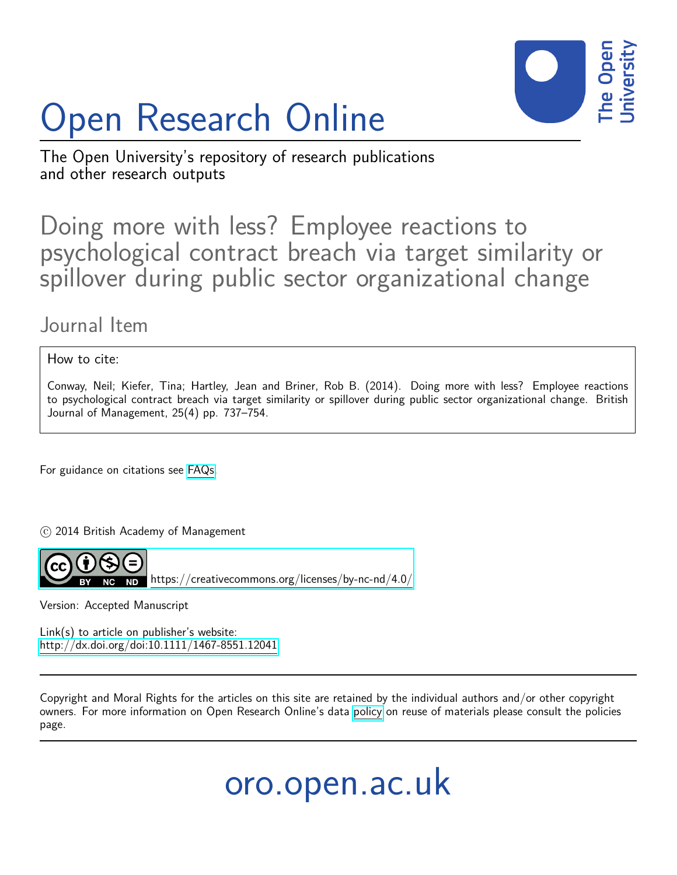

# Open Research Online

The Open University's repository of research publications and other research outputs

# Doing more with less? Employee reactions to psychological contract breach via target similarity or spillover during public sector organizational change

# Journal Item

How to cite:

Conway, Neil; Kiefer, Tina; Hartley, Jean and Briner, Rob B. (2014). Doing more with less? Employee reactions to psychological contract breach via target similarity or spillover during public sector organizational change. British Journal of Management, 25(4) pp. 737–754.

For guidance on citations see [FAQs.](http://oro.open.ac.uk/help/helpfaq.html)

c 2014 British Academy of Management



<https://creativecommons.org/licenses/by-nc-nd/4.0/>

Version: Accepted Manuscript

Link(s) to article on publisher's website: <http://dx.doi.org/doi:10.1111/1467-8551.12041>

Copyright and Moral Rights for the articles on this site are retained by the individual authors and/or other copyright owners. For more information on Open Research Online's data [policy](http://oro.open.ac.uk/policies.html) on reuse of materials please consult the policies page.

oro.open.ac.uk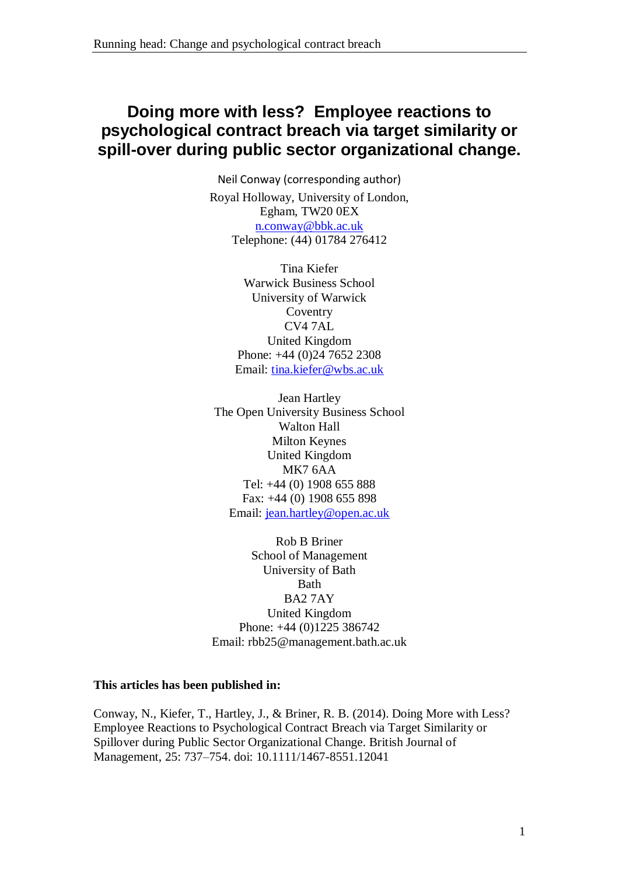## **Doing more with less? Employee reactions to psychological contract breach via target similarity or spill-over during public sector organizational change.**

Neil Conway (corresponding author) Royal Holloway, University of London, Egham, TW20 0EX [n.conway@bbk.ac.uk](mailto:n.conway@bbk.ac.uk) Telephone: (44) 01784 276412

> Tina Kiefer Warwick Business School University of Warwick Coventry CV4 7AL United Kingdom Phone: +44 (0)24 7652 2308 Email: [tina.kiefer@wbs.ac.uk](mailto:tina.kiefer@wbs.ac.uk)

Jean Hartley The Open University Business School Walton Hall Milton Keynes United Kingdom MK7 6AA Tel: +44 (0) 1908 655 888 Fax: +44 (0) 1908 655 898 Email: [jean.hartley@open.ac.uk](mailto:jean.hartley@open.ac.uk)

Rob B Briner School of Management University of Bath Bath BA2 7AY United Kingdom Phone: +44 (0)1225 386742 Email: rbb25@management.bath.ac.uk

#### **This articles has been published in:**

Conway, N., Kiefer, T., Hartley, J., & Briner, R. B. (2014). Doing More with Less? Employee Reactions to Psychological Contract Breach via Target Similarity or Spillover during Public Sector Organizational Change. British Journal of Management, 25: 737–754. doi: 10.1111/1467-8551.12041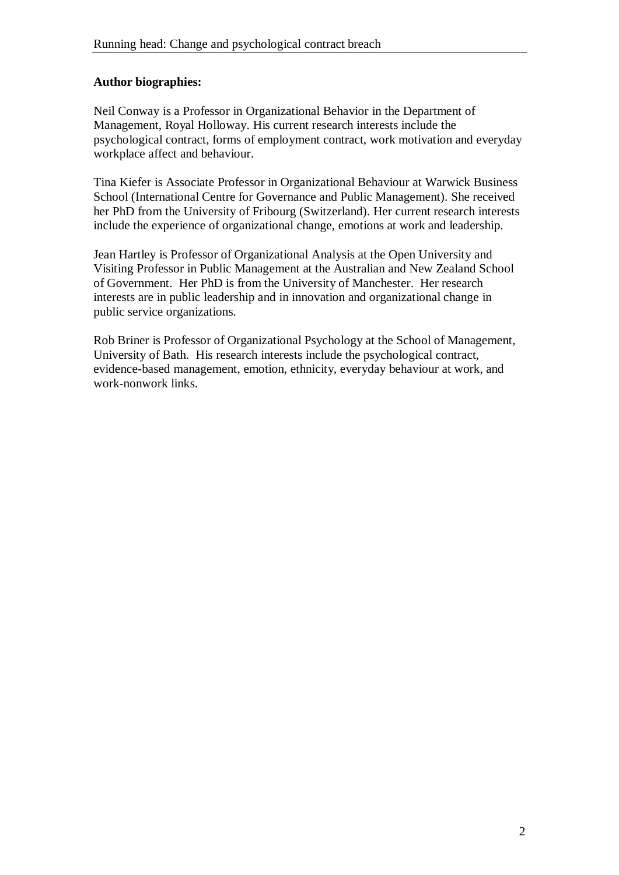#### **Author biographies:**

Neil Conway is a Professor in Organizational Behavior in the Department of Management, Royal Holloway. His current research interests include the psychological contract, forms of employment contract, work motivation and everyday workplace affect and behaviour.

Tina Kiefer is Associate Professor in Organizational Behaviour at Warwick Business School (International Centre for Governance and Public Management). She received her PhD from the University of Fribourg (Switzerland). Her current research interests include the experience of organizational change, emotions at work and leadership.

Jean Hartley is Professor of Organizational Analysis at the Open University and Visiting Professor in Public Management at the Australian and New Zealand School of Government. Her PhD is from the University of Manchester. Her research interests are in public leadership and in innovation and organizational change in public service organizations.

Rob Briner is Professor of Organizational Psychology at the School of Management, University of Bath. His research interests include the psychological contract, evidence-based management, emotion, ethnicity, everyday behaviour at work, and work-nonwork links.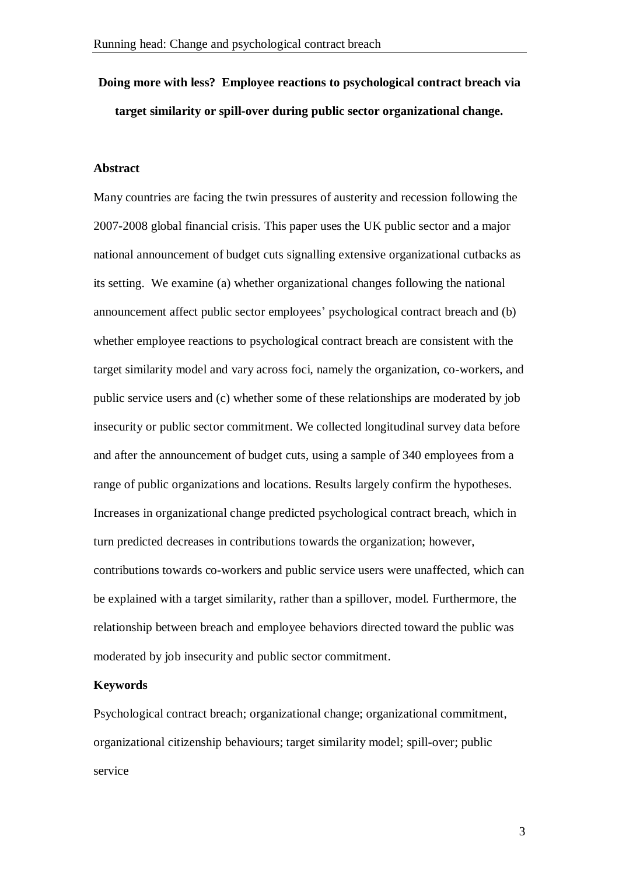# **Doing more with less? Employee reactions to psychological contract breach via target similarity or spill-over during public sector organizational change.**

#### **Abstract**

Many countries are facing the twin pressures of austerity and recession following the 2007-2008 global financial crisis. This paper uses the UK public sector and a major national announcement of budget cuts signalling extensive organizational cutbacks as its setting. We examine (a) whether organizational changes following the national announcement affect public sector employees' psychological contract breach and (b) whether employee reactions to psychological contract breach are consistent with the target similarity model and vary across foci, namely the organization, co-workers, and public service users and (c) whether some of these relationships are moderated by job insecurity or public sector commitment. We collected longitudinal survey data before and after the announcement of budget cuts, using a sample of 340 employees from a range of public organizations and locations. Results largely confirm the hypotheses. Increases in organizational change predicted psychological contract breach, which in turn predicted decreases in contributions towards the organization; however, contributions towards co-workers and public service users were unaffected, which can be explained with a target similarity, rather than a spillover, model. Furthermore, the relationship between breach and employee behaviors directed toward the public was moderated by job insecurity and public sector commitment.

#### **Keywords**

Psychological contract breach; organizational change; organizational commitment, organizational citizenship behaviours; target similarity model; spill-over; public service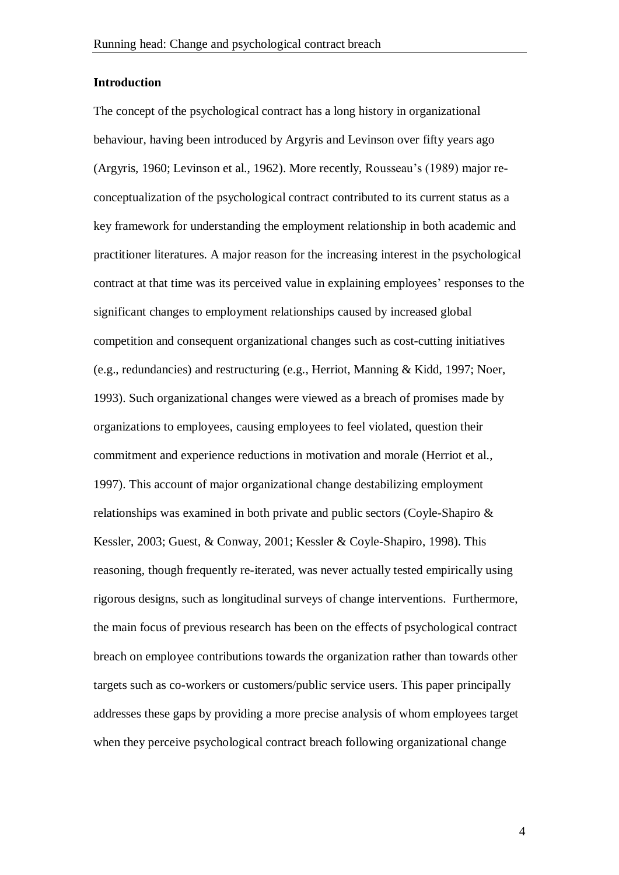#### **Introduction**

The concept of the psychological contract has a long history in organizational behaviour, having been introduced by Argyris and Levinson over fifty years ago (Argyris, 1960; Levinson et al., 1962). More recently, Rousseau's (1989) major reconceptualization of the psychological contract contributed to its current status as a key framework for understanding the employment relationship in both academic and practitioner literatures. A major reason for the increasing interest in the psychological contract at that time was its perceived value in explaining employees' responses to the significant changes to employment relationships caused by increased global competition and consequent organizational changes such as cost-cutting initiatives (e.g., redundancies) and restructuring (e.g., Herriot, Manning & Kidd, 1997; Noer, 1993). Such organizational changes were viewed as a breach of promises made by organizations to employees, causing employees to feel violated, question their commitment and experience reductions in motivation and morale (Herriot et al., 1997). This account of major organizational change destabilizing employment relationships was examined in both private and public sectors (Coyle-Shapiro & Kessler, 2003; Guest, & Conway, 2001; Kessler & Coyle-Shapiro, 1998). This reasoning, though frequently re-iterated, was never actually tested empirically using rigorous designs, such as longitudinal surveys of change interventions. Furthermore, the main focus of previous research has been on the effects of psychological contract breach on employee contributions towards the organization rather than towards other targets such as co-workers or customers/public service users. This paper principally addresses these gaps by providing a more precise analysis of whom employees target when they perceive psychological contract breach following organizational change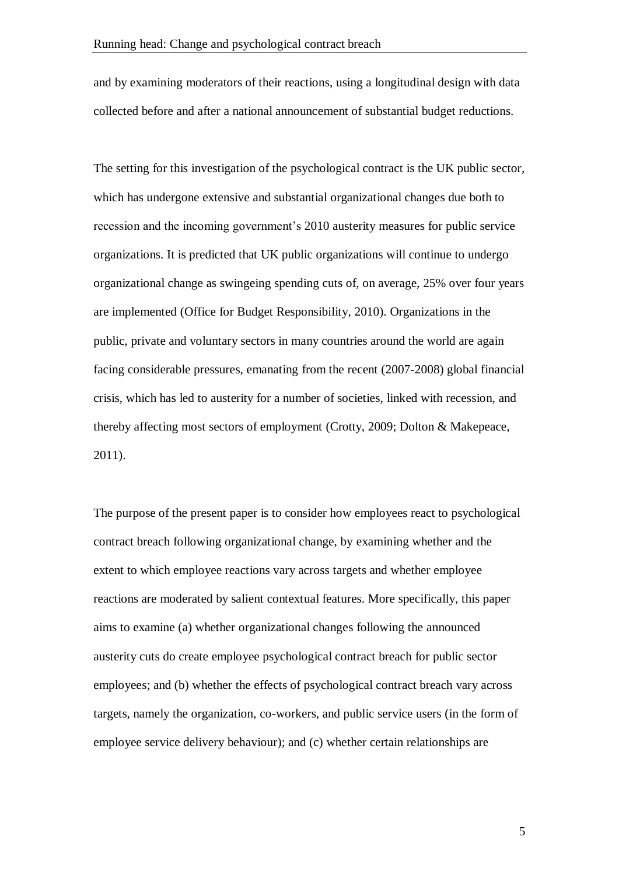and by examining moderators of their reactions, using a longitudinal design with data collected before and after a national announcement of substantial budget reductions.

The setting for this investigation of the psychological contract is the UK public sector, which has undergone extensive and substantial organizational changes due both to recession and the incoming government's 2010 austerity measures for public service organizations. It is predicted that UK public organizations will continue to undergo organizational change as swingeing spending cuts of, on average, 25% over four years are implemented (Office for Budget Responsibility, 2010). Organizations in the public, private and voluntary sectors in many countries around the world are again facing considerable pressures, emanating from the recent (2007-2008) global financial crisis, which has led to austerity for a number of societies, linked with recession, and thereby affecting most sectors of employment (Crotty, 2009; Dolton & Makepeace, 2011).

The purpose of the present paper is to consider how employees react to psychological contract breach following organizational change, by examining whether and the extent to which employee reactions vary across targets and whether employee reactions are moderated by salient contextual features. More specifically, this paper aims to examine (a) whether organizational changes following the announced austerity cuts do create employee psychological contract breach for public sector employees; and (b) whether the effects of psychological contract breach vary across targets, namely the organization, co-workers, and public service users (in the form of employee service delivery behaviour); and (c) whether certain relationships are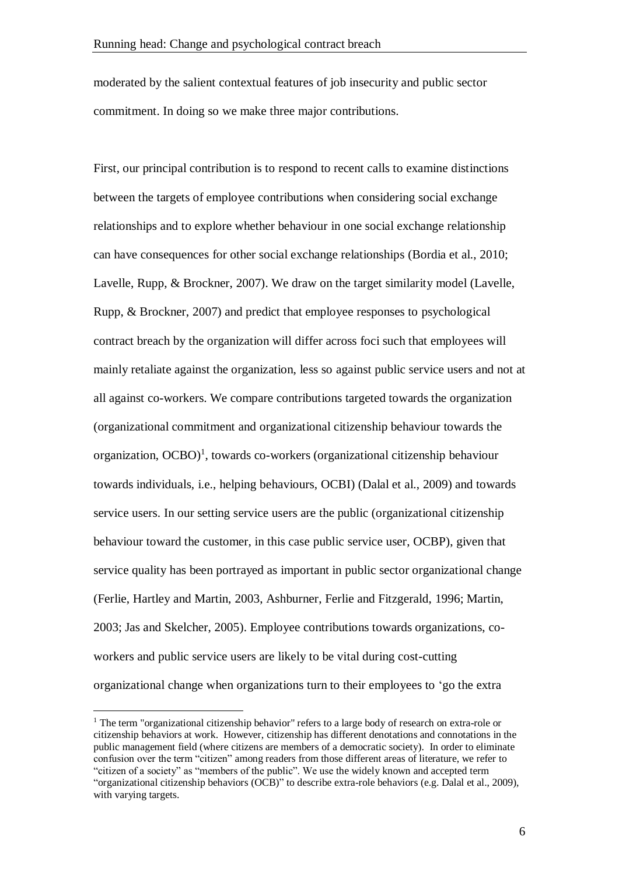moderated by the salient contextual features of job insecurity and public sector commitment. In doing so we make three major contributions.

First, our principal contribution is to respond to recent calls to examine distinctions between the targets of employee contributions when considering social exchange relationships and to explore whether behaviour in one social exchange relationship can have consequences for other social exchange relationships (Bordia et al., 2010; Lavelle, Rupp, & Brockner, 2007). We draw on the target similarity model (Lavelle, Rupp, & Brockner, 2007) and predict that employee responses to psychological contract breach by the organization will differ across foci such that employees will mainly retaliate against the organization, less so against public service users and not at all against co-workers. We compare contributions targeted towards the organization (organizational commitment and organizational citizenship behaviour towards the organization,  $OCBO$ <sup>1</sup>, towards co-workers (organizational citizenship behaviour towards individuals, i.e., helping behaviours, OCBI) (Dalal et al., 2009) and towards service users. In our setting service users are the public (organizational citizenship behaviour toward the customer, in this case public service user, OCBP), given that service quality has been portrayed as important in public sector organizational change (Ferlie, Hartley and Martin, 2003, Ashburner, Ferlie and Fitzgerald, 1996; Martin, 2003; Jas and Skelcher, 2005). Employee contributions towards organizations, coworkers and public service users are likely to be vital during cost-cutting organizational change when organizations turn to their employees to 'go the extra

<sup>&</sup>lt;sup>1</sup> The term "organizational citizenship behavior" refers to a large body of research on extra-role or citizenship behaviors at work. However, citizenship has different denotations and connotations in the public management field (where citizens are members of a democratic society). In order to eliminate confusion over the term "citizen" among readers from those different areas of literature, we refer to "citizen of a society" as "members of the public". We use the widely known and accepted term "organizational citizenship behaviors (OCB)" to describe extra-role behaviors (e.g. Dalal et al., 2009), with varying targets.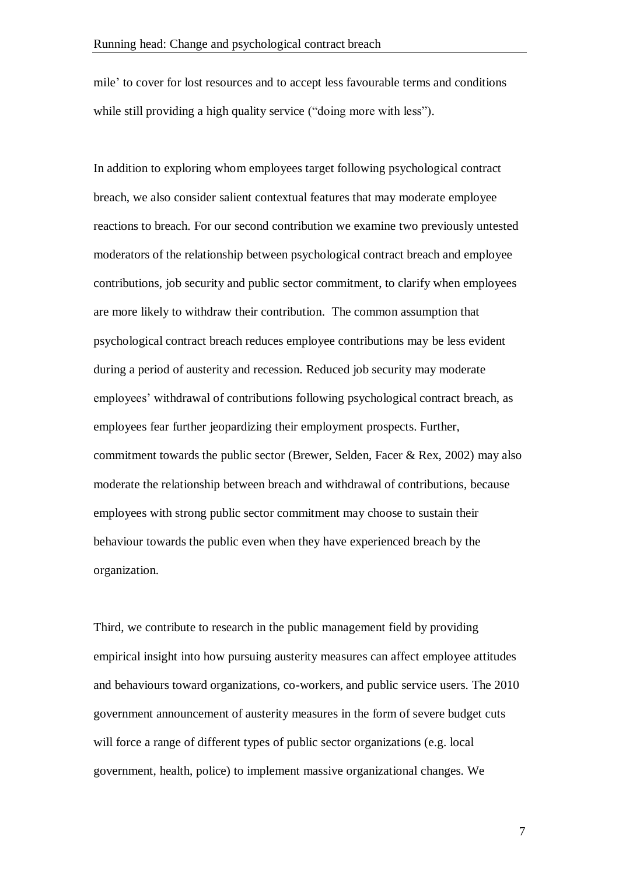mile' to cover for lost resources and to accept less favourable terms and conditions while still providing a high quality service ("doing more with less").

In addition to exploring whom employees target following psychological contract breach, we also consider salient contextual features that may moderate employee reactions to breach. For our second contribution we examine two previously untested moderators of the relationship between psychological contract breach and employee contributions, job security and public sector commitment, to clarify when employees are more likely to withdraw their contribution. The common assumption that psychological contract breach reduces employee contributions may be less evident during a period of austerity and recession. Reduced job security may moderate employees' withdrawal of contributions following psychological contract breach, as employees fear further jeopardizing their employment prospects. Further, commitment towards the public sector (Brewer, Selden, Facer & Rex, 2002) may also moderate the relationship between breach and withdrawal of contributions, because employees with strong public sector commitment may choose to sustain their behaviour towards the public even when they have experienced breach by the organization.

Third, we contribute to research in the public management field by providing empirical insight into how pursuing austerity measures can affect employee attitudes and behaviours toward organizations, co-workers, and public service users. The 2010 government announcement of austerity measures in the form of severe budget cuts will force a range of different types of public sector organizations (e.g. local government, health, police) to implement massive organizational changes. We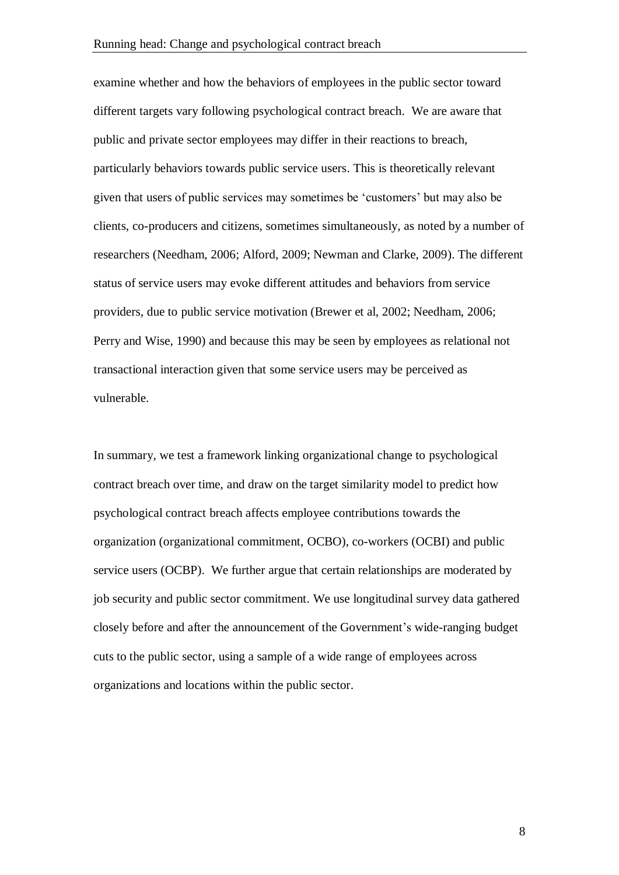examine whether and how the behaviors of employees in the public sector toward different targets vary following psychological contract breach. We are aware that public and private sector employees may differ in their reactions to breach, particularly behaviors towards public service users. This is theoretically relevant given that users of public services may sometimes be 'customers' but may also be clients, co-producers and citizens, sometimes simultaneously, as noted by a number of researchers (Needham, 2006; Alford, 2009; Newman and Clarke, 2009). The different status of service users may evoke different attitudes and behaviors from service providers, due to public service motivation (Brewer et al, 2002; Needham, 2006; Perry and Wise, 1990) and because this may be seen by employees as relational not transactional interaction given that some service users may be perceived as vulnerable.

In summary, we test a framework linking organizational change to psychological contract breach over time, and draw on the target similarity model to predict how psychological contract breach affects employee contributions towards the organization (organizational commitment, OCBO), co-workers (OCBI) and public service users (OCBP). We further argue that certain relationships are moderated by job security and public sector commitment. We use longitudinal survey data gathered closely before and after the announcement of the Government's wide-ranging budget cuts to the public sector, using a sample of a wide range of employees across organizations and locations within the public sector.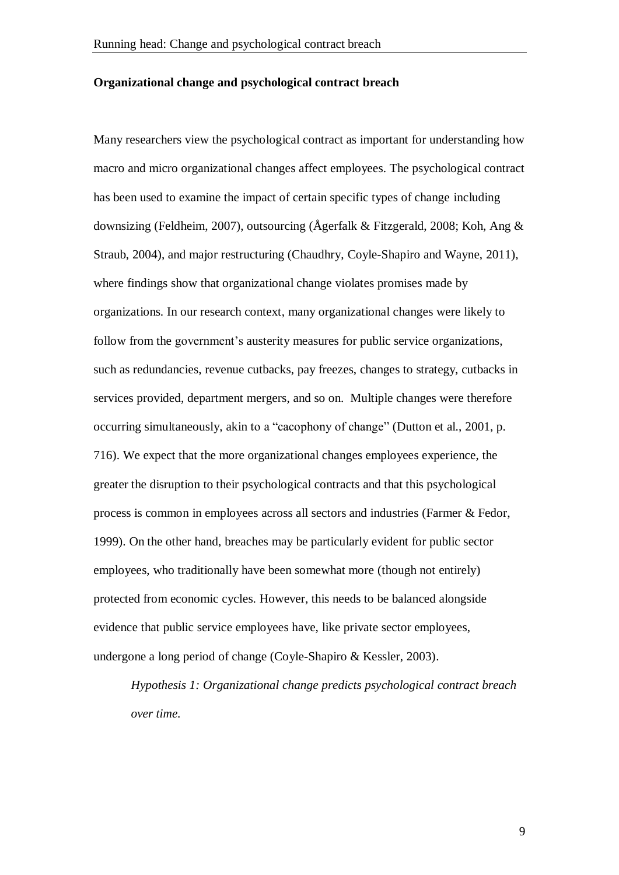#### **Organizational change and psychological contract breach**

Many researchers view the psychological contract as important for understanding how macro and micro organizational changes affect employees. The psychological contract has been used to examine the impact of certain specific types of change including downsizing (Feldheim, 2007), outsourcing (Ågerfalk & Fitzgerald, 2008; Koh, Ang & Straub, 2004), and major restructuring (Chaudhry, Coyle-Shapiro and Wayne, 2011), where findings show that organizational change violates promises made by organizations. In our research context, many organizational changes were likely to follow from the government's austerity measures for public service organizations, such as redundancies, revenue cutbacks, pay freezes, changes to strategy, cutbacks in services provided, department mergers, and so on. Multiple changes were therefore occurring simultaneously, akin to a "cacophony of change" (Dutton et al., 2001, p. 716). We expect that the more organizational changes employees experience, the greater the disruption to their psychological contracts and that this psychological process is common in employees across all sectors and industries (Farmer & Fedor, 1999). On the other hand, breaches may be particularly evident for public sector employees, who traditionally have been somewhat more (though not entirely) protected from economic cycles. However, this needs to be balanced alongside evidence that public service employees have, like private sector employees, undergone a long period of change (Coyle-Shapiro & Kessler, 2003).

*Hypothesis 1: Organizational change predicts psychological contract breach over time.*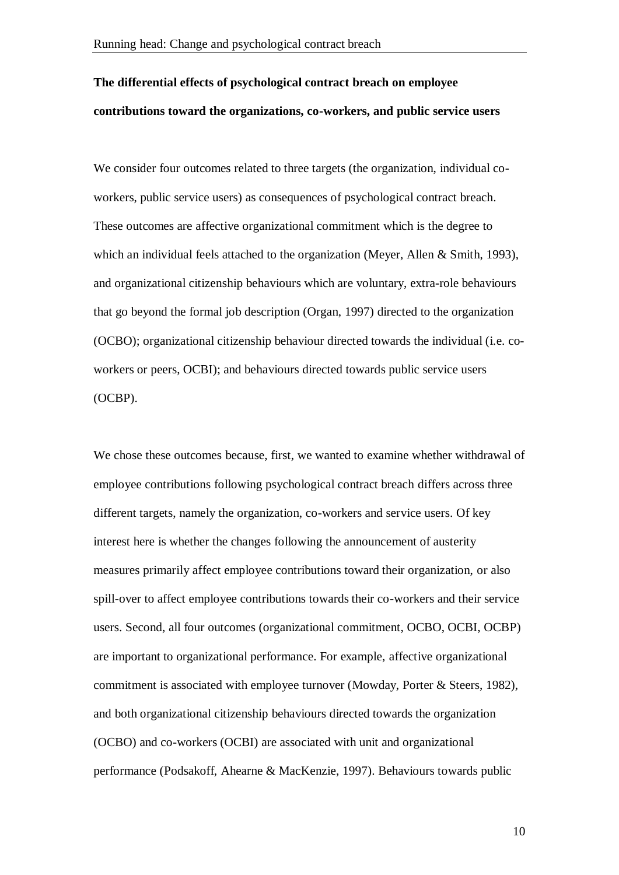# **The differential effects of psychological contract breach on employee contributions toward the organizations, co-workers, and public service users**

We consider four outcomes related to three targets (the organization, individual coworkers, public service users) as consequences of psychological contract breach. These outcomes are affective organizational commitment which is the degree to which an individual feels attached to the organization (Meyer, Allen & Smith, 1993), and organizational citizenship behaviours which are voluntary, extra-role behaviours that go beyond the formal job description (Organ, 1997) directed to the organization (OCBO); organizational citizenship behaviour directed towards the individual (i.e. coworkers or peers, OCBI); and behaviours directed towards public service users (OCBP).

We chose these outcomes because, first, we wanted to examine whether withdrawal of employee contributions following psychological contract breach differs across three different targets, namely the organization, co-workers and service users. Of key interest here is whether the changes following the announcement of austerity measures primarily affect employee contributions toward their organization, or also spill-over to affect employee contributions towards their co-workers and their service users. Second, all four outcomes (organizational commitment, OCBO, OCBI, OCBP) are important to organizational performance. For example, affective organizational commitment is associated with employee turnover (Mowday, Porter & Steers, 1982), and both organizational citizenship behaviours directed towards the organization (OCBO) and co-workers (OCBI) are associated with unit and organizational performance (Podsakoff, Ahearne & MacKenzie, 1997). Behaviours towards public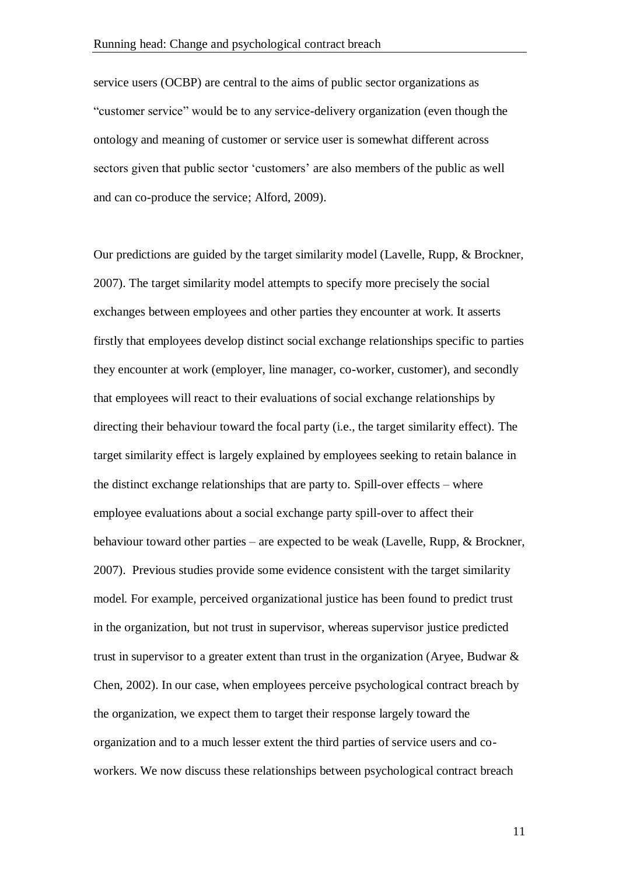service users (OCBP) are central to the aims of public sector organizations as "customer service" would be to any service-delivery organization (even though the ontology and meaning of customer or service user is somewhat different across sectors given that public sector 'customers' are also members of the public as well and can co-produce the service; Alford, 2009).

Our predictions are guided by the target similarity model (Lavelle, Rupp, & Brockner, 2007). The target similarity model attempts to specify more precisely the social exchanges between employees and other parties they encounter at work. It asserts firstly that employees develop distinct social exchange relationships specific to parties they encounter at work (employer, line manager, co-worker, customer), and secondly that employees will react to their evaluations of social exchange relationships by directing their behaviour toward the focal party (i.e., the target similarity effect). The target similarity effect is largely explained by employees seeking to retain balance in the distinct exchange relationships that are party to. Spill-over effects – where employee evaluations about a social exchange party spill-over to affect their behaviour toward other parties – are expected to be weak (Lavelle, Rupp, & Brockner, 2007). Previous studies provide some evidence consistent with the target similarity model. For example, perceived organizational justice has been found to predict trust in the organization, but not trust in supervisor, whereas supervisor justice predicted trust in supervisor to a greater extent than trust in the organization (Aryee, Budwar & Chen, 2002). In our case, when employees perceive psychological contract breach by the organization, we expect them to target their response largely toward the organization and to a much lesser extent the third parties of service users and coworkers. We now discuss these relationships between psychological contract breach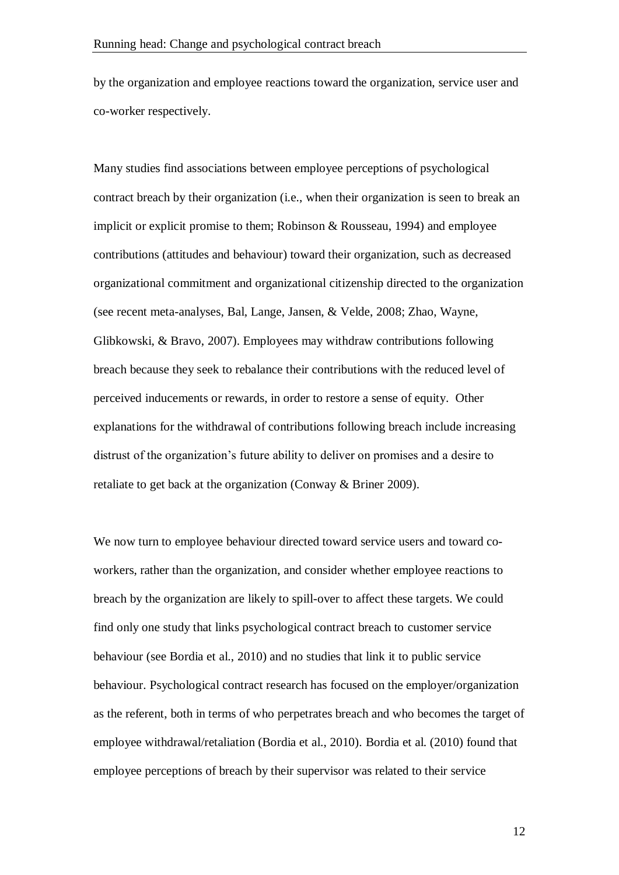by the organization and employee reactions toward the organization, service user and co-worker respectively.

Many studies find associations between employee perceptions of psychological contract breach by their organization (i.e., when their organization is seen to break an implicit or explicit promise to them; Robinson & Rousseau, 1994) and employee contributions (attitudes and behaviour) toward their organization, such as decreased organizational commitment and organizational citizenship directed to the organization (see recent meta-analyses, Bal, Lange, Jansen, & Velde, 2008; Zhao, Wayne, Glibkowski, & Bravo, 2007). Employees may withdraw contributions following breach because they seek to rebalance their contributions with the reduced level of perceived inducements or rewards, in order to restore a sense of equity. Other explanations for the withdrawal of contributions following breach include increasing distrust of the organization's future ability to deliver on promises and a desire to retaliate to get back at the organization (Conway & Briner 2009).

We now turn to employee behaviour directed toward service users and toward coworkers, rather than the organization, and consider whether employee reactions to breach by the organization are likely to spill-over to affect these targets. We could find only one study that links psychological contract breach to customer service behaviour (see Bordia et al., 2010) and no studies that link it to public service behaviour. Psychological contract research has focused on the employer/organization as the referent, both in terms of who perpetrates breach and who becomes the target of employee withdrawal/retaliation (Bordia et al., 2010). Bordia et al. (2010) found that employee perceptions of breach by their supervisor was related to their service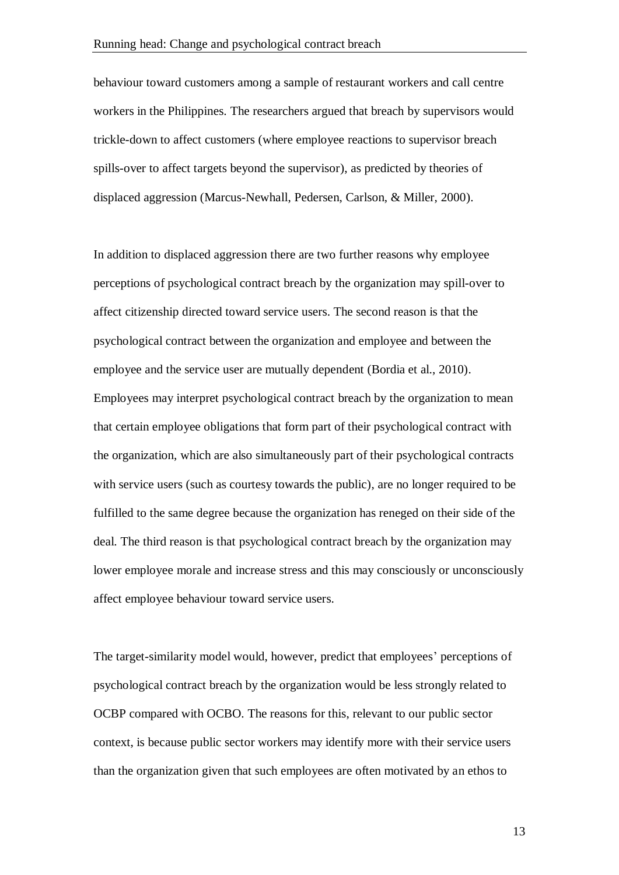behaviour toward customers among a sample of restaurant workers and call centre workers in the Philippines. The researchers argued that breach by supervisors would trickle-down to affect customers (where employee reactions to supervisor breach spills-over to affect targets beyond the supervisor), as predicted by theories of displaced aggression (Marcus-Newhall, Pedersen, Carlson, & Miller, 2000).

In addition to displaced aggression there are two further reasons why employee perceptions of psychological contract breach by the organization may spill-over to affect citizenship directed toward service users. The second reason is that the psychological contract between the organization and employee and between the employee and the service user are mutually dependent (Bordia et al., 2010). Employees may interpret psychological contract breach by the organization to mean that certain employee obligations that form part of their psychological contract with the organization, which are also simultaneously part of their psychological contracts with service users (such as courtesy towards the public), are no longer required to be fulfilled to the same degree because the organization has reneged on their side of the deal. The third reason is that psychological contract breach by the organization may lower employee morale and increase stress and this may consciously or unconsciously affect employee behaviour toward service users.

The target-similarity model would, however, predict that employees' perceptions of psychological contract breach by the organization would be less strongly related to OCBP compared with OCBO. The reasons for this, relevant to our public sector context, is because public sector workers may identify more with their service users than the organization given that such employees are often motivated by an ethos to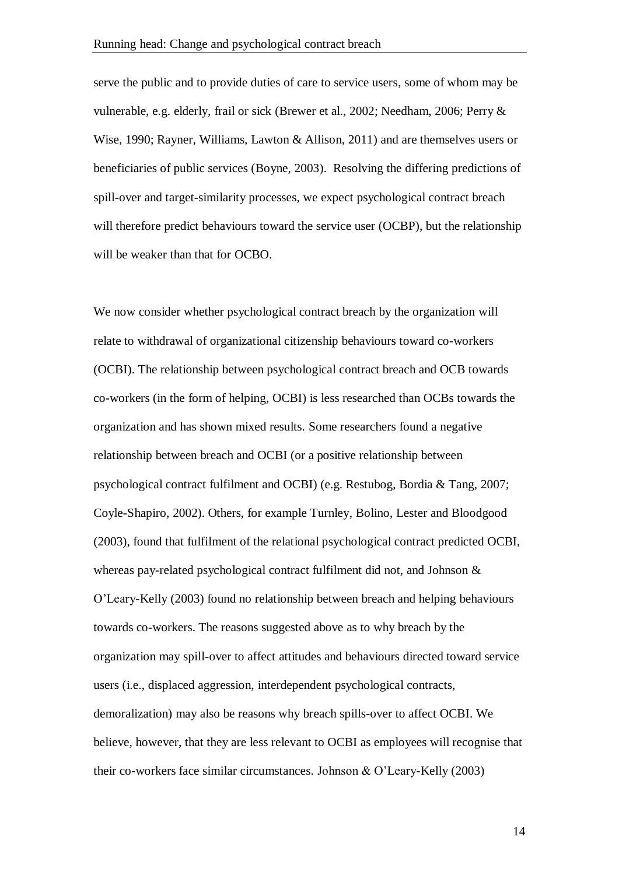serve the public and to provide duties of care to service users, some of whom may be vulnerable, e.g. elderly, frail or sick (Brewer et al., 2002; Needham, 2006; Perry & Wise, 1990; Rayner, Williams, Lawton & Allison, 2011) and are themselves users or beneficiaries of public services (Boyne, 2003). Resolving the differing predictions of spill-over and target-similarity processes, we expect psychological contract breach will therefore predict behaviours toward the service user (OCBP), but the relationship will be weaker than that for OCBO.

We now consider whether psychological contract breach by the organization will relate to withdrawal of organizational citizenship behaviours toward co-workers (OCBI). The relationship between psychological contract breach and OCB towards co-workers (in the form of helping, OCBI) is less researched than OCBs towards the organization and has shown mixed results. Some researchers found a negative relationship between breach and OCBI (or a positive relationship between psychological contract fulfilment and OCBI) (e.g. Restubog, Bordia & Tang, 2007; Coyle-Shapiro, 2002). Others, for example Turnley, Bolino, Lester and Bloodgood (2003), found that fulfilment of the relational psychological contract predicted OCBI, whereas pay-related psychological contract fulfilment did not, and Johnson & O'Leary-Kelly (2003) found no relationship between breach and helping behaviours towards co-workers. The reasons suggested above as to why breach by the organization may spill-over to affect attitudes and behaviours directed toward service users (i.e., displaced aggression, interdependent psychological contracts, demoralization) may also be reasons why breach spills-over to affect OCBI. We believe, however, that they are less relevant to OCBI as employees will recognise that their co-workers face similar circumstances. Johnson & O'Leary-Kelly (2003)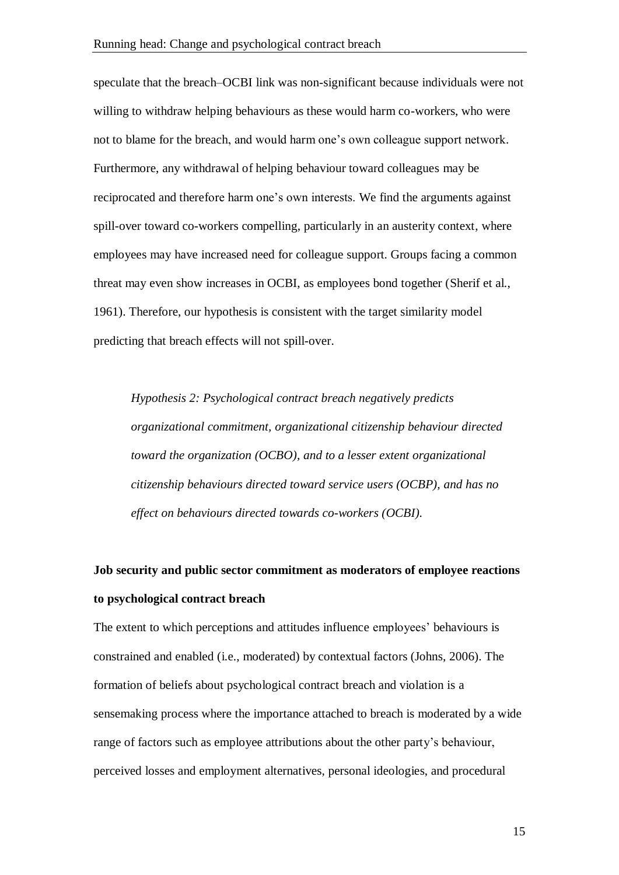speculate that the breach–OCBI link was non-significant because individuals were not willing to withdraw helping behaviours as these would harm co-workers, who were not to blame for the breach, and would harm one's own colleague support network. Furthermore, any withdrawal of helping behaviour toward colleagues may be reciprocated and therefore harm one's own interests. We find the arguments against spill-over toward co-workers compelling, particularly in an austerity context, where employees may have increased need for colleague support. Groups facing a common threat may even show increases in OCBI, as employees bond together (Sherif et al., 1961). Therefore, our hypothesis is consistent with the target similarity model predicting that breach effects will not spill-over.

*Hypothesis 2: Psychological contract breach negatively predicts organizational commitment, organizational citizenship behaviour directed toward the organization (OCBO), and to a lesser extent organizational citizenship behaviours directed toward service users (OCBP), and has no effect on behaviours directed towards co-workers (OCBI).*

# **Job security and public sector commitment as moderators of employee reactions to psychological contract breach**

The extent to which perceptions and attitudes influence employees' behaviours is constrained and enabled (i.e., moderated) by contextual factors (Johns, 2006). The formation of beliefs about psychological contract breach and violation is a sensemaking process where the importance attached to breach is moderated by a wide range of factors such as employee attributions about the other party's behaviour, perceived losses and employment alternatives, personal ideologies, and procedural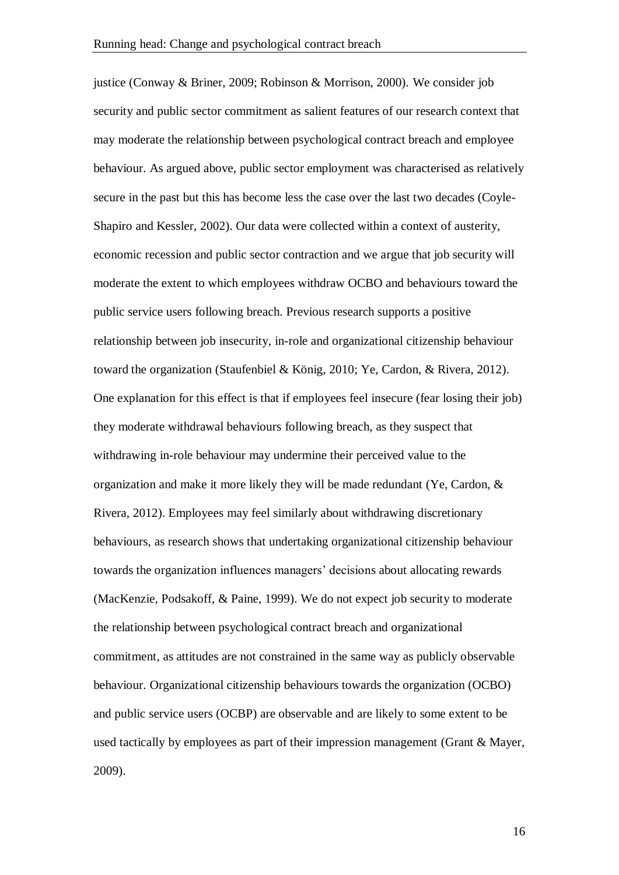justice (Conway & Briner, 2009; Robinson & Morrison, 2000). We consider job security and public sector commitment as salient features of our research context that may moderate the relationship between psychological contract breach and employee behaviour. As argued above, public sector employment was characterised as relatively secure in the past but this has become less the case over the last two decades (Coyle-Shapiro and Kessler, 2002). Our data were collected within a context of austerity, economic recession and public sector contraction and we argue that job security will moderate the extent to which employees withdraw OCBO and behaviours toward the public service users following breach. Previous research supports a positive relationship between job insecurity, in-role and organizational citizenship behaviour toward the organization (Staufenbiel & König, 2010; Ye, Cardon, & Rivera, 2012). One explanation for this effect is that if employees feel insecure (fear losing their job) they moderate withdrawal behaviours following breach, as they suspect that withdrawing in-role behaviour may undermine their perceived value to the organization and make it more likely they will be made redundant (Ye, Cardon, & Rivera, 2012). Employees may feel similarly about withdrawing discretionary behaviours, as research shows that undertaking organizational citizenship behaviour towards the organization influences managers' decisions about allocating rewards (MacKenzie, Podsakoff, & Paine, 1999). We do not expect job security to moderate the relationship between psychological contract breach and organizational commitment, as attitudes are not constrained in the same way as publicly observable behaviour. Organizational citizenship behaviours towards the organization (OCBO) and public service users (OCBP) are observable and are likely to some extent to be used tactically by employees as part of their impression management (Grant & Mayer, 2009).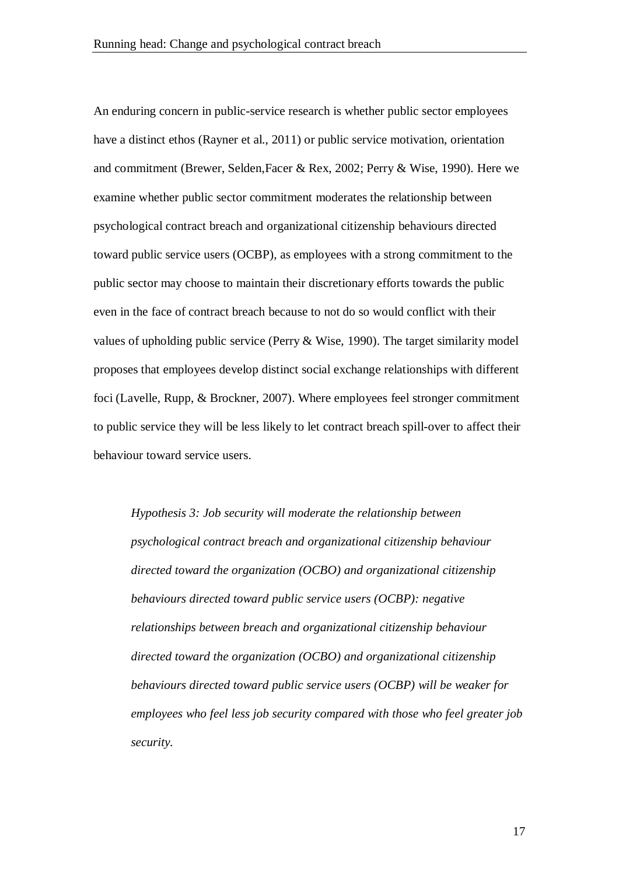An enduring concern in public-service research is whether public sector employees have a distinct ethos (Rayner et al., 2011) or public service motivation, orientation and commitment (Brewer, Selden,Facer & Rex, 2002; Perry & Wise, 1990). Here we examine whether public sector commitment moderates the relationship between psychological contract breach and organizational citizenship behaviours directed toward public service users (OCBP), as employees with a strong commitment to the public sector may choose to maintain their discretionary efforts towards the public even in the face of contract breach because to not do so would conflict with their values of upholding public service (Perry & Wise, 1990). The target similarity model proposes that employees develop distinct social exchange relationships with different foci (Lavelle, Rupp, & Brockner, 2007). Where employees feel stronger commitment to public service they will be less likely to let contract breach spill-over to affect their behaviour toward service users.

*Hypothesis 3: Job security will moderate the relationship between psychological contract breach and organizational citizenship behaviour directed toward the organization (OCBO) and organizational citizenship behaviours directed toward public service users (OCBP): negative relationships between breach and organizational citizenship behaviour directed toward the organization (OCBO) and organizational citizenship behaviours directed toward public service users (OCBP) will be weaker for employees who feel less job security compared with those who feel greater job security.*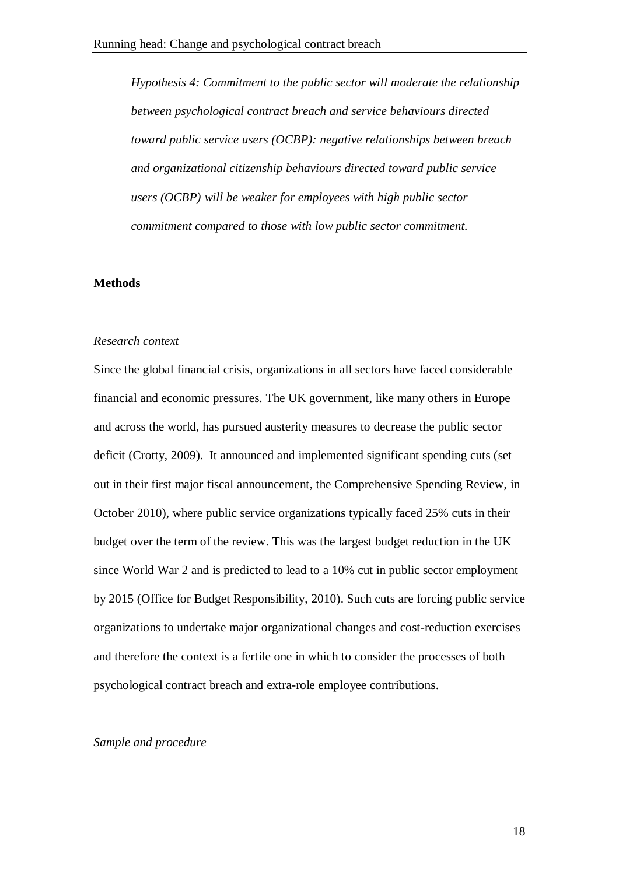*Hypothesis 4: Commitment to the public sector will moderate the relationship between psychological contract breach and service behaviours directed toward public service users (OCBP): negative relationships between breach and organizational citizenship behaviours directed toward public service users (OCBP) will be weaker for employees with high public sector commitment compared to those with low public sector commitment.*

#### **Methods**

#### *Research context*

Since the global financial crisis, organizations in all sectors have faced considerable financial and economic pressures. The UK government, like many others in Europe and across the world, has pursued austerity measures to decrease the public sector deficit (Crotty, 2009). It announced and implemented significant spending cuts (set out in their first major fiscal announcement, the Comprehensive Spending Review, in October 2010), where public service organizations typically faced 25% cuts in their budget over the term of the review. This was the largest budget reduction in the UK since World War 2 and is predicted to lead to a 10% cut in public sector employment by 2015 (Office for Budget Responsibility, 2010). Such cuts are forcing public service organizations to undertake major organizational changes and cost-reduction exercises and therefore the context is a fertile one in which to consider the processes of both psychological contract breach and extra-role employee contributions.

#### *Sample and procedure*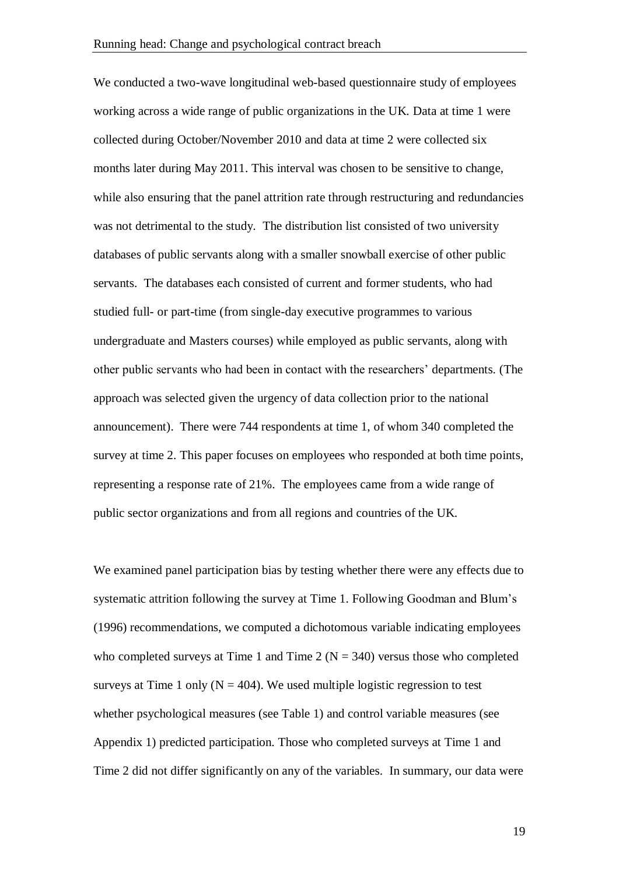We conducted a two-wave longitudinal web-based questionnaire study of employees working across a wide range of public organizations in the UK. Data at time 1 were collected during October/November 2010 and data at time 2 were collected six months later during May 2011. This interval was chosen to be sensitive to change, while also ensuring that the panel attrition rate through restructuring and redundancies was not detrimental to the study. The distribution list consisted of two university databases of public servants along with a smaller snowball exercise of other public servants. The databases each consisted of current and former students, who had studied full- or part-time (from single-day executive programmes to various undergraduate and Masters courses) while employed as public servants, along with other public servants who had been in contact with the researchers' departments. (The approach was selected given the urgency of data collection prior to the national announcement). There were 744 respondents at time 1, of whom 340 completed the survey at time 2. This paper focuses on employees who responded at both time points, representing a response rate of 21%. The employees came from a wide range of public sector organizations and from all regions and countries of the UK.

We examined panel participation bias by testing whether there were any effects due to systematic attrition following the survey at Time 1. Following Goodman and Blum's (1996) recommendations, we computed a dichotomous variable indicating employees who completed surveys at Time 1 and Time 2 ( $N = 340$ ) versus those who completed surveys at Time 1 only  $(N = 404)$ . We used multiple logistic regression to test whether psychological measures (see Table 1) and control variable measures (see Appendix 1) predicted participation. Those who completed surveys at Time 1 and Time 2 did not differ significantly on any of the variables. In summary, our data were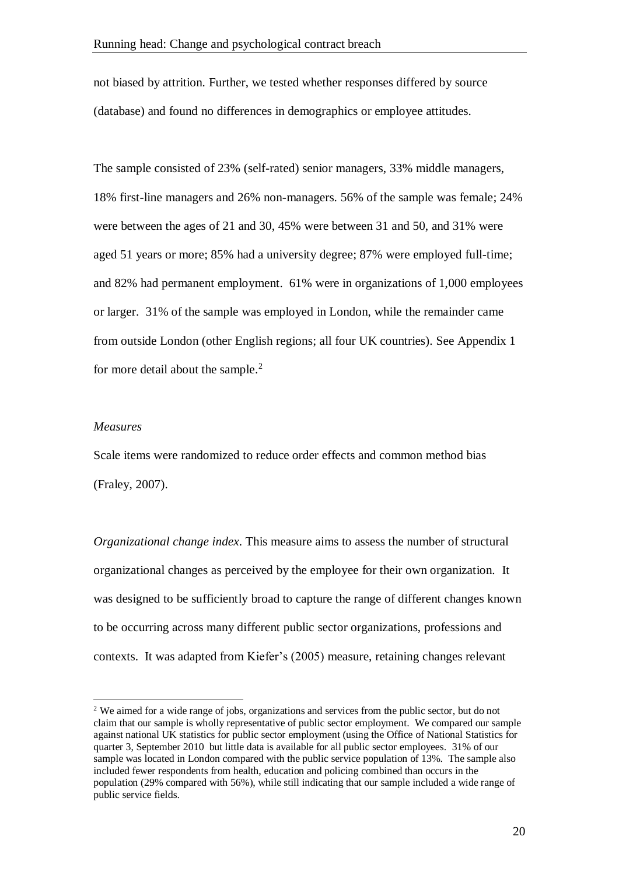not biased by attrition. Further, we tested whether responses differed by source (database) and found no differences in demographics or employee attitudes.

The sample consisted of 23% (self-rated) senior managers, 33% middle managers, 18% first-line managers and 26% non-managers. 56% of the sample was female; 24% were between the ages of 21 and 30, 45% were between 31 and 50, and 31% were aged 51 years or more; 85% had a university degree; 87% were employed full-time; and 82% had permanent employment. 61% were in organizations of 1,000 employees or larger. 31% of the sample was employed in London, while the remainder came from outside London (other English regions; all four UK countries). See Appendix 1 for more detail about the sample. 2

#### *Measures*

1

Scale items were randomized to reduce order effects and common method bias (Fraley, 2007).

*Organizational change index*. This measure aims to assess the number of structural organizational changes as perceived by the employee for their own organization. It was designed to be sufficiently broad to capture the range of different changes known to be occurring across many different public sector organizations, professions and contexts. It was adapted from Kiefer's (2005) measure, retaining changes relevant

<sup>&</sup>lt;sup>2</sup> We aimed for a wide range of jobs, organizations and services from the public sector, but do not claim that our sample is wholly representative of public sector employment. We compared our sample against national UK statistics for public sector employment (using the Office of National Statistics for quarter 3, September 2010 but little data is available for all public sector employees. 31% of our sample was located in London compared with the public service population of 13%. The sample also included fewer respondents from health, education and policing combined than occurs in the population (29% compared with 56%), while still indicating that our sample included a wide range of public service fields.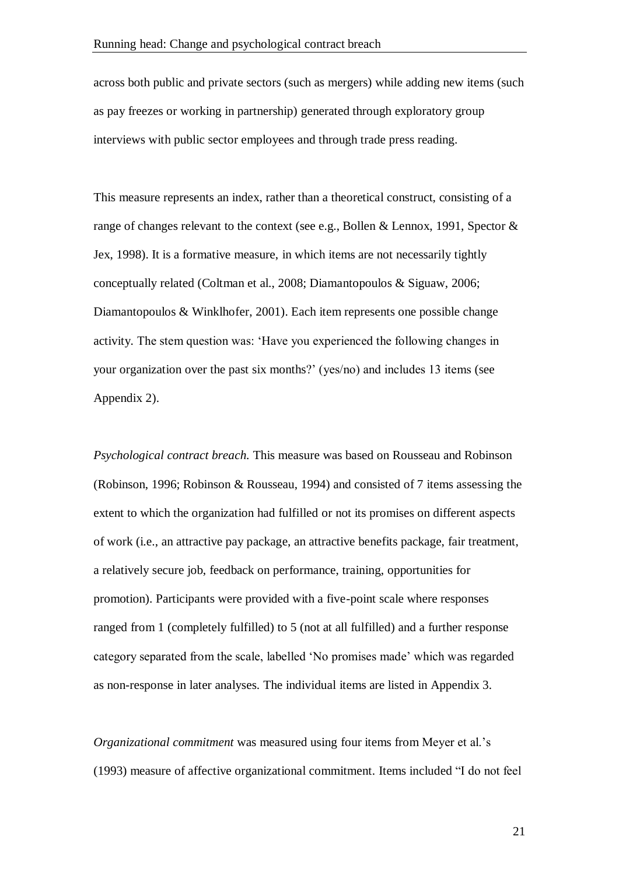across both public and private sectors (such as mergers) while adding new items (such as pay freezes or working in partnership) generated through exploratory group interviews with public sector employees and through trade press reading.

This measure represents an index, rather than a theoretical construct, consisting of a range of changes relevant to the context (see e.g., Bollen & Lennox, 1991, Spector & Jex, 1998). It is a formative measure, in which items are not necessarily tightly conceptually related (Coltman et al., 2008; Diamantopoulos & Siguaw, 2006; Diamantopoulos & Winklhofer, 2001). Each item represents one possible change activity. The stem question was: 'Have you experienced the following changes in your organization over the past six months?' (yes/no) and includes 13 items (see Appendix 2).

*Psychological contract breach.* This measure was based on Rousseau and Robinson (Robinson, 1996; Robinson & Rousseau, 1994) and consisted of 7 items assessing the extent to which the organization had fulfilled or not its promises on different aspects of work (i.e., an attractive pay package, an attractive benefits package, fair treatment, a relatively secure job, feedback on performance, training, opportunities for promotion). Participants were provided with a five-point scale where responses ranged from 1 (completely fulfilled) to 5 (not at all fulfilled) and a further response category separated from the scale, labelled 'No promises made' which was regarded as non-response in later analyses. The individual items are listed in Appendix 3.

*Organizational commitment* was measured using four items from Meyer et al.'s (1993) measure of affective organizational commitment. Items included "I do not feel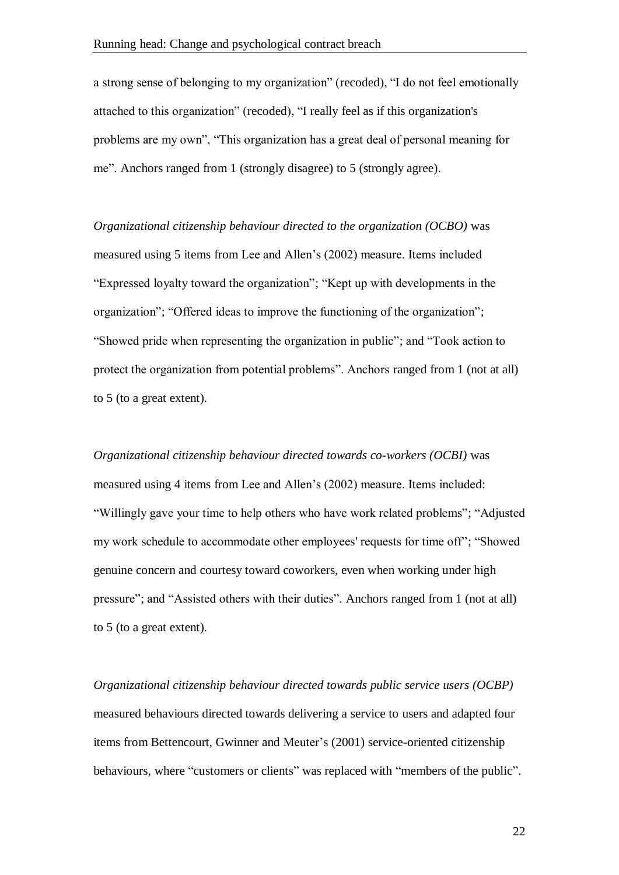a strong sense of belonging to my organization" (recoded), "I do not feel emotionally attached to this organization" (recoded), "I really feel as if this organization's problems are my own", "This organization has a great deal of personal meaning for me". Anchors ranged from 1 (strongly disagree) to 5 (strongly agree).

*Organizational citizenship behaviour directed to the organization (OCBO)* was measured using 5 items from Lee and Allen's (2002) measure. Items included "Expressed loyalty toward the organization"; "Kept up with developments in the organization"; "Offered ideas to improve the functioning of the organization"; "Showed pride when representing the organization in public"; and "Took action to protect the organization from potential problems". Anchors ranged from 1 (not at all) to 5 (to a great extent).

*Organizational citizenship behaviour directed towards co-workers (OCBI)* was measured using 4 items from Lee and Allen's (2002) measure. Items included: "Willingly gave your time to help others who have work related problems"; "Adjusted my work schedule to accommodate other employees' requests for time off"; "Showed genuine concern and courtesy toward coworkers, even when working under high pressure"; and "Assisted others with their duties". Anchors ranged from 1 (not at all) to 5 (to a great extent).

*Organizational citizenship behaviour directed towards public service users (OCBP)* measured behaviours directed towards delivering a service to users and adapted four items from Bettencourt, Gwinner and Meuter's (2001) service-oriented citizenship behaviours, where "customers or clients" was replaced with "members of the public".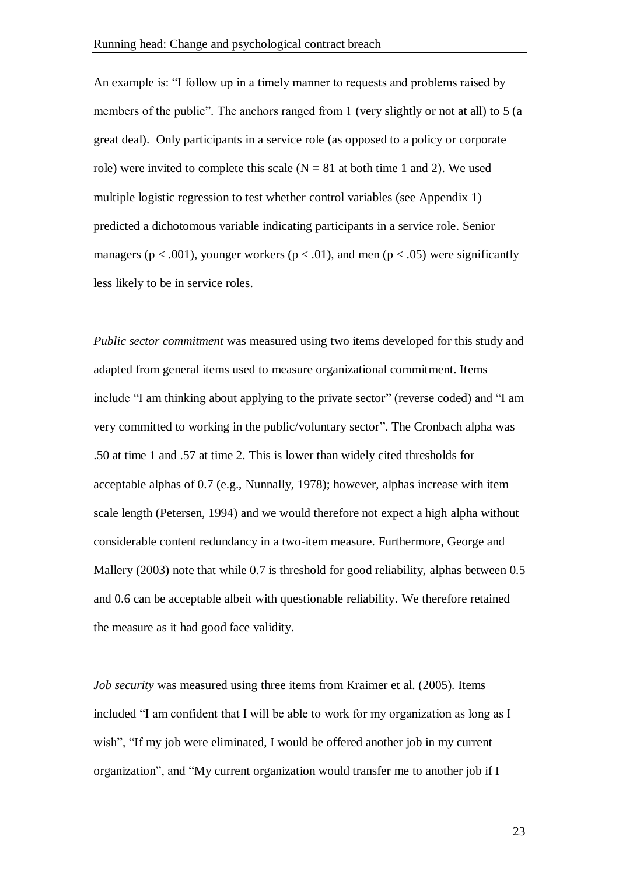An example is: "I follow up in a timely manner to requests and problems raised by members of the public". The anchors ranged from 1 (very slightly or not at all) to 5 (a great deal). Only participants in a service role (as opposed to a policy or corporate role) were invited to complete this scale  $(N = 81$  at both time 1 and 2). We used multiple logistic regression to test whether control variables (see Appendix 1) predicted a dichotomous variable indicating participants in a service role. Senior managers ( $p < .001$ ), younger workers ( $p < .01$ ), and men ( $p < .05$ ) were significantly less likely to be in service roles.

*Public sector commitment* was measured using two items developed for this study and adapted from general items used to measure organizational commitment. Items include "I am thinking about applying to the private sector" (reverse coded) and "I am very committed to working in the public/voluntary sector". The Cronbach alpha was .50 at time 1 and .57 at time 2. This is lower than widely cited thresholds for acceptable alphas of 0.7 (e.g., Nunnally, 1978); however, alphas increase with item scale length (Petersen, 1994) and we would therefore not expect a high alpha without considerable content redundancy in a two-item measure. Furthermore, George and Mallery (2003) note that while 0.7 is threshold for good reliability, alphas between 0.5 and 0.6 can be acceptable albeit with questionable reliability. We therefore retained the measure as it had good face validity.

*Job security* was measured using three items from Kraimer et al. (2005). Items included "I am confident that I will be able to work for my organization as long as I wish", "If my job were eliminated, I would be offered another job in my current organization", and "My current organization would transfer me to another job if I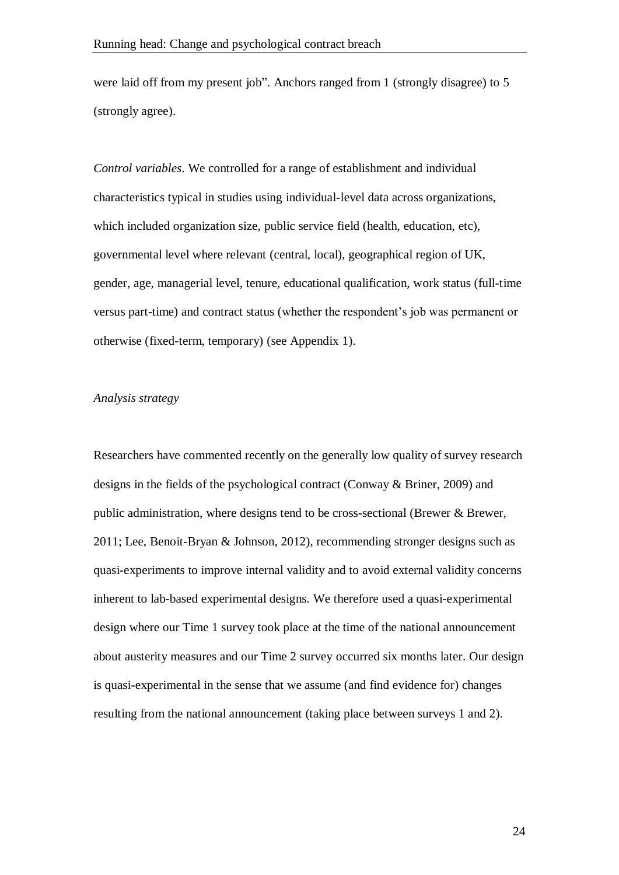were laid off from my present job". Anchors ranged from 1 (strongly disagree) to 5 (strongly agree).

*Control variables*. We controlled for a range of establishment and individual characteristics typical in studies using individual-level data across organizations, which included organization size, public service field (health, education, etc), governmental level where relevant (central, local), geographical region of UK, gender, age, managerial level, tenure, educational qualification, work status (full-time versus part-time) and contract status (whether the respondent's job was permanent or otherwise (fixed-term, temporary) (see Appendix 1).

#### *Analysis strategy*

Researchers have commented recently on the generally low quality of survey research designs in the fields of the psychological contract (Conway & Briner, 2009) and public administration, where designs tend to be cross-sectional (Brewer & Brewer, 2011; Lee, Benoit-Bryan & Johnson, 2012), recommending stronger designs such as quasi-experiments to improve internal validity and to avoid external validity concerns inherent to lab-based experimental designs. We therefore used a quasi-experimental design where our Time 1 survey took place at the time of the national announcement about austerity measures and our Time 2 survey occurred six months later. Our design is quasi-experimental in the sense that we assume (and find evidence for) changes resulting from the national announcement (taking place between surveys 1 and 2).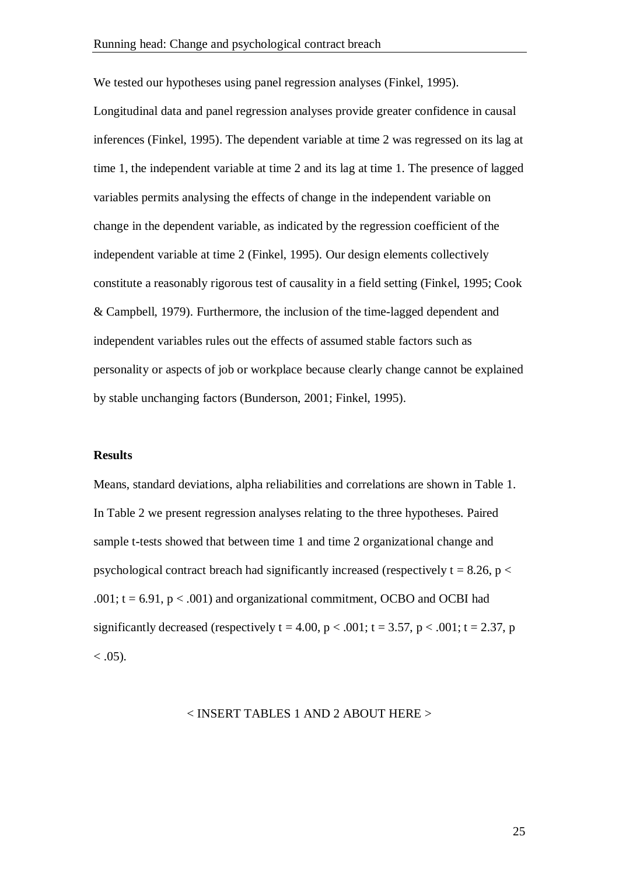We tested our hypotheses using panel regression analyses (Finkel, 1995).

Longitudinal data and panel regression analyses provide greater confidence in causal inferences (Finkel, 1995). The dependent variable at time 2 was regressed on its lag at time 1, the independent variable at time 2 and its lag at time 1. The presence of lagged variables permits analysing the effects of change in the independent variable on change in the dependent variable, as indicated by the regression coefficient of the independent variable at time 2 (Finkel, 1995). Our design elements collectively constitute a reasonably rigorous test of causality in a field setting (Finkel, 1995; Cook & Campbell, 1979). Furthermore, the inclusion of the time-lagged dependent and independent variables rules out the effects of assumed stable factors such as personality or aspects of job or workplace because clearly change cannot be explained by stable unchanging factors (Bunderson, 2001; Finkel, 1995).

#### **Results**

Means, standard deviations, alpha reliabilities and correlations are shown in Table 1. In Table 2 we present regression analyses relating to the three hypotheses. Paired sample t-tests showed that between time 1 and time 2 organizational change and psychological contract breach had significantly increased (respectively  $t = 8.26$ ,  $p <$ .001;  $t = 6.91$ ,  $p < .001$ ) and organizational commitment, OCBO and OCBI had significantly decreased (respectively  $t = 4.00$ ,  $p < .001$ ;  $t = 3.57$ ,  $p < .001$ ;  $t = 2.37$ , p  $< .05$ ).

#### < INSERT TABLES 1 AND 2 ABOUT HERE >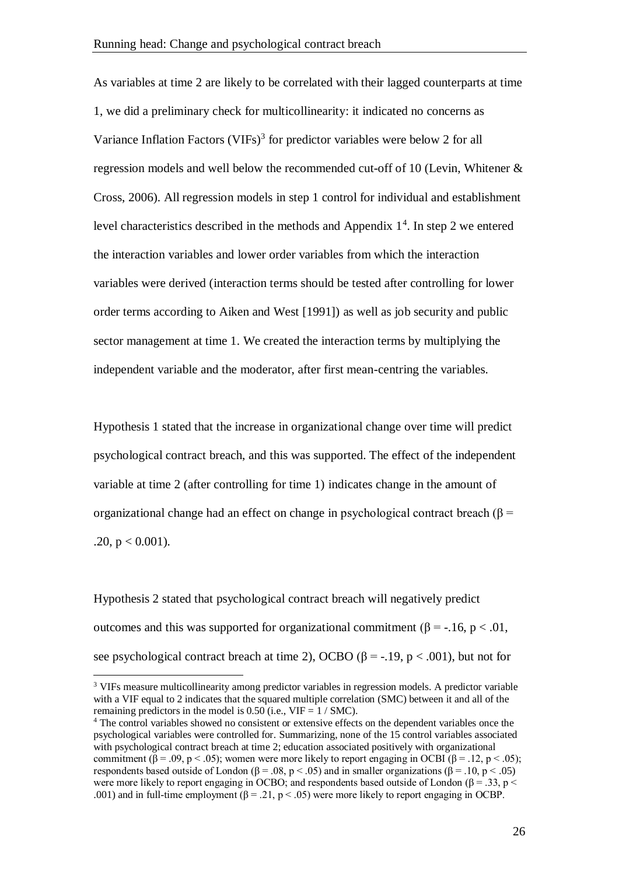As variables at time 2 are likely to be correlated with their lagged counterparts at time 1, we did a preliminary check for multicollinearity: it indicated no concerns as Variance Inflation Factors (VIFs)<sup>3</sup> for predictor variables were below 2 for all regression models and well below the recommended cut-off of 10 (Levin, Whitener & Cross, 2006). All regression models in step 1 control for individual and establishment level characteristics described in the methods and Appendix  $1<sup>4</sup>$ . In step 2 we entered the interaction variables and lower order variables from which the interaction variables were derived (interaction terms should be tested after controlling for lower order terms according to Aiken and West [1991]) as well as job security and public sector management at time 1. We created the interaction terms by multiplying the independent variable and the moderator, after first mean-centring the variables.

Hypothesis 1 stated that the increase in organizational change over time will predict psychological contract breach, and this was supported. The effect of the independent variable at time 2 (after controlling for time 1) indicates change in the amount of organizational change had an effect on change in psychological contract breach ( $\beta$  = .20,  $p < 0.001$ ).

Hypothesis 2 stated that psychological contract breach will negatively predict outcomes and this was supported for organizational commitment (β = -.16, p < .01, see psychological contract breach at time 2), OCBO ( $\beta$  = -.19, p < .001), but not for

<u>.</u>

<sup>&</sup>lt;sup>3</sup> VIFs measure multicollinearity among predictor variables in regression models. A predictor variable with a VIF equal to 2 indicates that the squared multiple correlation (SMC) between it and all of the remaining predictors in the model is 0.50 (i.e.,  $VIF = 1 / SMC$ ).

<sup>&</sup>lt;sup>4</sup> The control variables showed no consistent or extensive effects on the dependent variables once the psychological variables were controlled for. Summarizing, none of the 15 control variables associated with psychological contract breach at time 2; education associated positively with organizational commitment  $(\beta = .09, p < .05)$ ; women were more likely to report engaging in OCBI  $(\beta = .12, p < .05)$ ; respondents based outside of London ( $\beta = .08$ ,  $p < .05$ ) and in smaller organizations ( $\beta = .10$ ,  $p < .05$ ) were more likely to report engaging in OCBO; and respondents based outside of London ( $\beta = 0.33$ , p < .001) and in full-time employment  $(\beta = .21, p < .05)$  were more likely to report engaging in OCBP.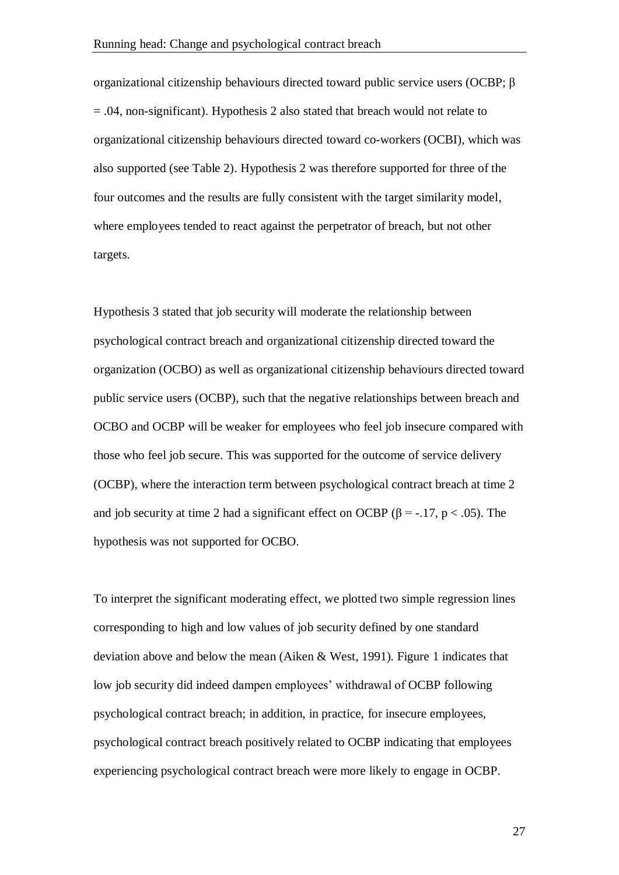organizational citizenship behaviours directed toward public service users (OCBP; β = .04, non-significant). Hypothesis 2 also stated that breach would not relate to organizational citizenship behaviours directed toward co-workers (OCBI), which was also supported (see Table 2). Hypothesis 2 was therefore supported for three of the four outcomes and the results are fully consistent with the target similarity model, where employees tended to react against the perpetrator of breach, but not other targets.

Hypothesis 3 stated that job security will moderate the relationship between psychological contract breach and organizational citizenship directed toward the organization (OCBO) as well as organizational citizenship behaviours directed toward public service users (OCBP), such that the negative relationships between breach and OCBO and OCBP will be weaker for employees who feel job insecure compared with those who feel job secure. This was supported for the outcome of service delivery (OCBP), where the interaction term between psychological contract breach at time 2 and job security at time 2 had a significant effect on OCBP ( $\beta$  = -.17, p < .05). The hypothesis was not supported for OCBO.

To interpret the significant moderating effect, we plotted two simple regression lines corresponding to high and low values of job security defined by one standard deviation above and below the mean (Aiken & West, 1991). Figure 1 indicates that low job security did indeed dampen employees' withdrawal of OCBP following psychological contract breach; in addition, in practice, for insecure employees, psychological contract breach positively related to OCBP indicating that employees experiencing psychological contract breach were more likely to engage in OCBP.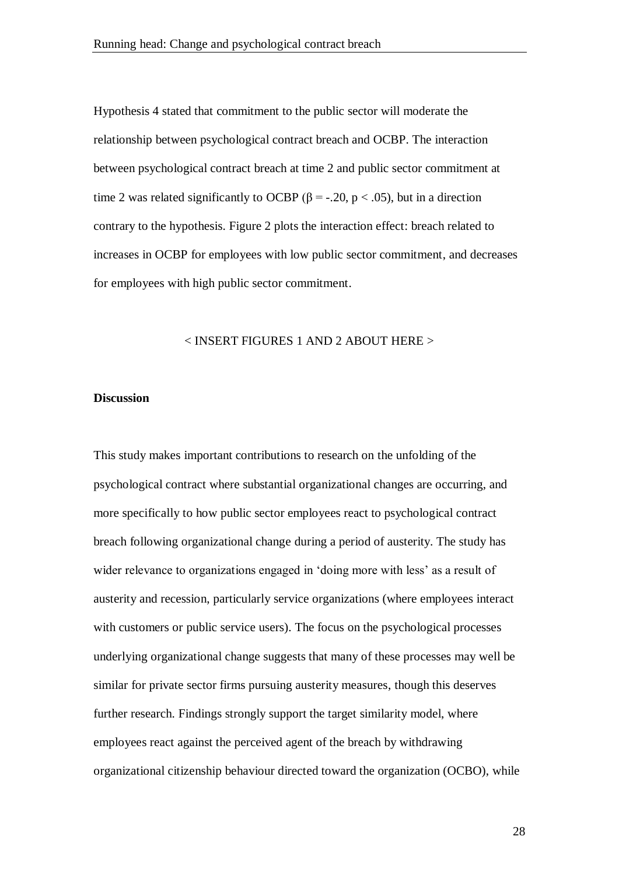Hypothesis 4 stated that commitment to the public sector will moderate the relationship between psychological contract breach and OCBP. The interaction between psychological contract breach at time 2 and public sector commitment at time 2 was related significantly to OCBP ( $\beta$  = -.20, p < .05), but in a direction contrary to the hypothesis. Figure 2 plots the interaction effect: breach related to increases in OCBP for employees with low public sector commitment, and decreases for employees with high public sector commitment.

#### < INSERT FIGURES 1 AND 2 ABOUT HERE >

#### **Discussion**

This study makes important contributions to research on the unfolding of the psychological contract where substantial organizational changes are occurring, and more specifically to how public sector employees react to psychological contract breach following organizational change during a period of austerity. The study has wider relevance to organizations engaged in 'doing more with less' as a result of austerity and recession, particularly service organizations (where employees interact with customers or public service users). The focus on the psychological processes underlying organizational change suggests that many of these processes may well be similar for private sector firms pursuing austerity measures, though this deserves further research. Findings strongly support the target similarity model, where employees react against the perceived agent of the breach by withdrawing organizational citizenship behaviour directed toward the organization (OCBO), while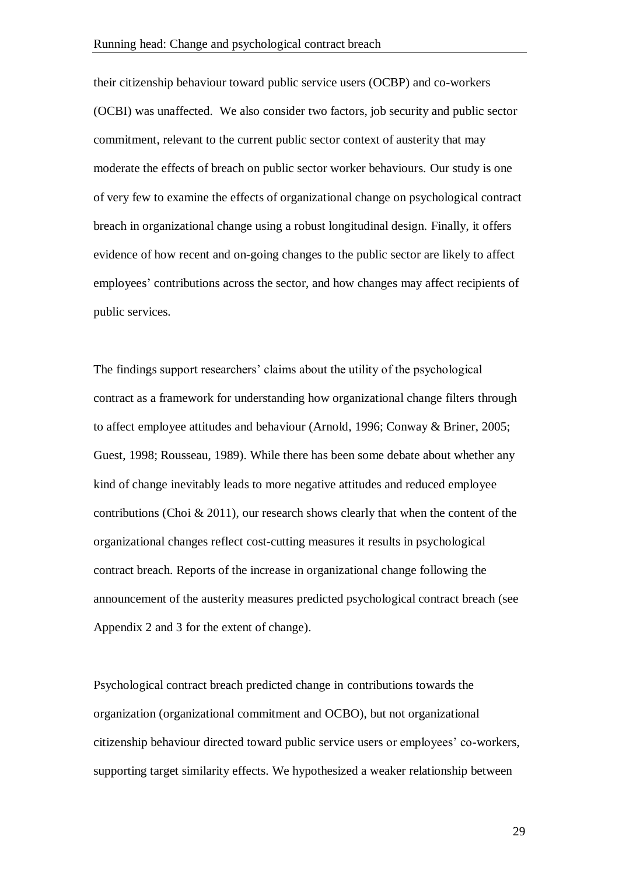their citizenship behaviour toward public service users (OCBP) and co-workers (OCBI) was unaffected. We also consider two factors, job security and public sector commitment, relevant to the current public sector context of austerity that may moderate the effects of breach on public sector worker behaviours. Our study is one of very few to examine the effects of organizational change on psychological contract breach in organizational change using a robust longitudinal design. Finally, it offers evidence of how recent and on-going changes to the public sector are likely to affect employees' contributions across the sector, and how changes may affect recipients of public services.

The findings support researchers' claims about the utility of the psychological contract as a framework for understanding how organizational change filters through to affect employee attitudes and behaviour (Arnold, 1996; Conway & Briner, 2005; Guest, 1998; Rousseau, 1989). While there has been some debate about whether any kind of change inevitably leads to more negative attitudes and reduced employee contributions (Choi  $\&$  2011), our research shows clearly that when the content of the organizational changes reflect cost-cutting measures it results in psychological contract breach. Reports of the increase in organizational change following the announcement of the austerity measures predicted psychological contract breach (see Appendix 2 and 3 for the extent of change).

Psychological contract breach predicted change in contributions towards the organization (organizational commitment and OCBO), but not organizational citizenship behaviour directed toward public service users or employees' co-workers, supporting target similarity effects. We hypothesized a weaker relationship between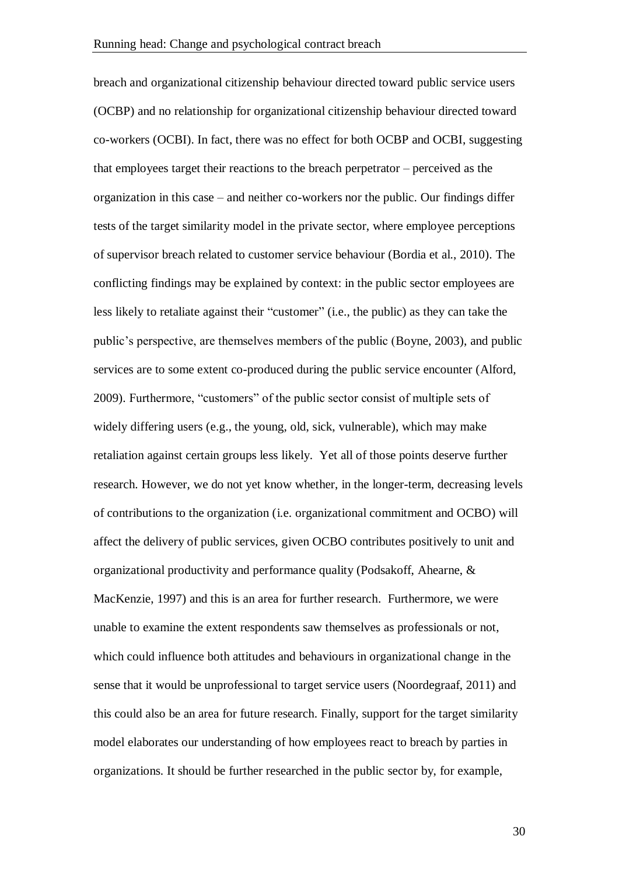breach and organizational citizenship behaviour directed toward public service users (OCBP) and no relationship for organizational citizenship behaviour directed toward co-workers (OCBI). In fact, there was no effect for both OCBP and OCBI, suggesting that employees target their reactions to the breach perpetrator – perceived as the organization in this case – and neither co-workers nor the public. Our findings differ tests of the target similarity model in the private sector, where employee perceptions of supervisor breach related to customer service behaviour (Bordia et al., 2010). The conflicting findings may be explained by context: in the public sector employees are less likely to retaliate against their "customer" (i.e., the public) as they can take the public's perspective, are themselves members of the public (Boyne, 2003), and public services are to some extent co-produced during the public service encounter (Alford, 2009). Furthermore, "customers" of the public sector consist of multiple sets of widely differing users (e.g., the young, old, sick, vulnerable), which may make retaliation against certain groups less likely. Yet all of those points deserve further research. However, we do not yet know whether, in the longer-term, decreasing levels of contributions to the organization (i.e. organizational commitment and OCBO) will affect the delivery of public services, given OCBO contributes positively to unit and organizational productivity and performance quality (Podsakoff, Ahearne, & MacKenzie, 1997) and this is an area for further research. Furthermore, we were unable to examine the extent respondents saw themselves as professionals or not, which could influence both attitudes and behaviours in organizational change in the sense that it would be unprofessional to target service users (Noordegraaf, 2011) and this could also be an area for future research. Finally, support for the target similarity model elaborates our understanding of how employees react to breach by parties in organizations. It should be further researched in the public sector by, for example,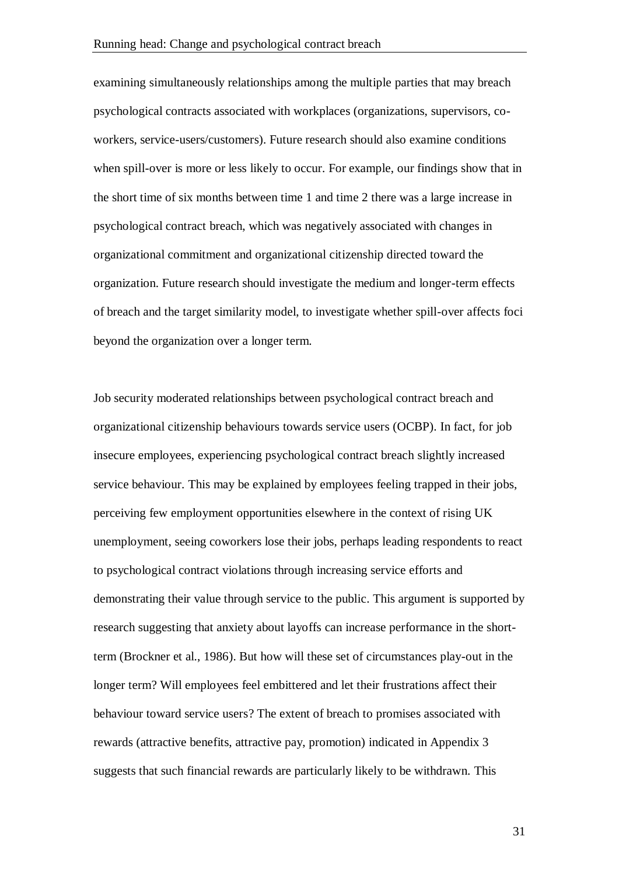examining simultaneously relationships among the multiple parties that may breach psychological contracts associated with workplaces (organizations, supervisors, coworkers, service-users/customers). Future research should also examine conditions when spill-over is more or less likely to occur. For example, our findings show that in the short time of six months between time 1 and time 2 there was a large increase in psychological contract breach, which was negatively associated with changes in organizational commitment and organizational citizenship directed toward the organization. Future research should investigate the medium and longer-term effects of breach and the target similarity model, to investigate whether spill-over affects foci beyond the organization over a longer term.

Job security moderated relationships between psychological contract breach and organizational citizenship behaviours towards service users (OCBP). In fact, for job insecure employees, experiencing psychological contract breach slightly increased service behaviour. This may be explained by employees feeling trapped in their jobs, perceiving few employment opportunities elsewhere in the context of rising UK unemployment, seeing coworkers lose their jobs, perhaps leading respondents to react to psychological contract violations through increasing service efforts and demonstrating their value through service to the public. This argument is supported by research suggesting that anxiety about layoffs can increase performance in the shortterm (Brockner et al., 1986). But how will these set of circumstances play-out in the longer term? Will employees feel embittered and let their frustrations affect their behaviour toward service users? The extent of breach to promises associated with rewards (attractive benefits, attractive pay, promotion) indicated in Appendix 3 suggests that such financial rewards are particularly likely to be withdrawn. This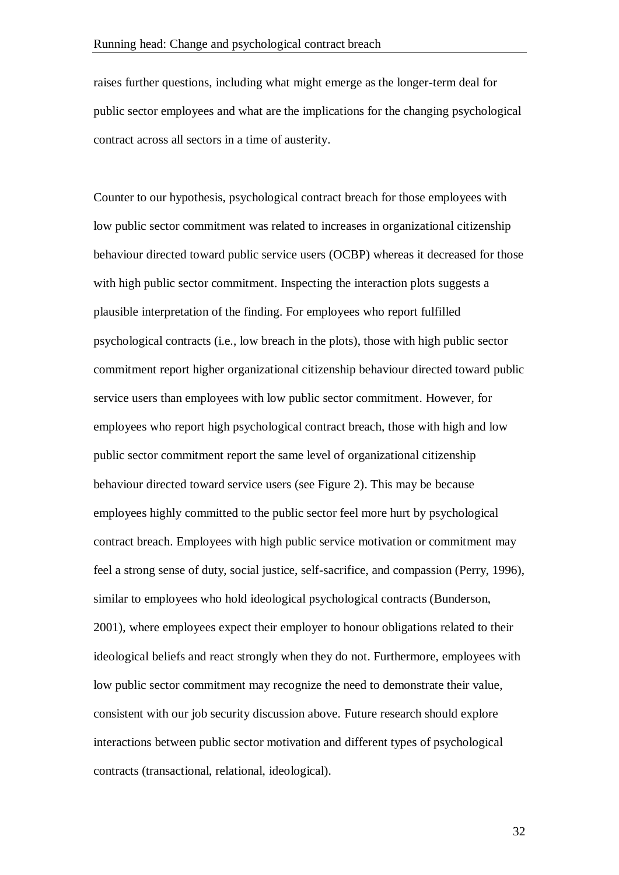raises further questions, including what might emerge as the longer-term deal for public sector employees and what are the implications for the changing psychological contract across all sectors in a time of austerity.

Counter to our hypothesis, psychological contract breach for those employees with low public sector commitment was related to increases in organizational citizenship behaviour directed toward public service users (OCBP) whereas it decreased for those with high public sector commitment. Inspecting the interaction plots suggests a plausible interpretation of the finding. For employees who report fulfilled psychological contracts (i.e., low breach in the plots), those with high public sector commitment report higher organizational citizenship behaviour directed toward public service users than employees with low public sector commitment. However, for employees who report high psychological contract breach, those with high and low public sector commitment report the same level of organizational citizenship behaviour directed toward service users (see Figure 2). This may be because employees highly committed to the public sector feel more hurt by psychological contract breach. Employees with high public service motivation or commitment may feel a strong sense of duty, social justice, self-sacrifice, and compassion (Perry, 1996), similar to employees who hold ideological psychological contracts (Bunderson, 2001), where employees expect their employer to honour obligations related to their ideological beliefs and react strongly when they do not. Furthermore, employees with low public sector commitment may recognize the need to demonstrate their value, consistent with our job security discussion above. Future research should explore interactions between public sector motivation and different types of psychological contracts (transactional, relational, ideological).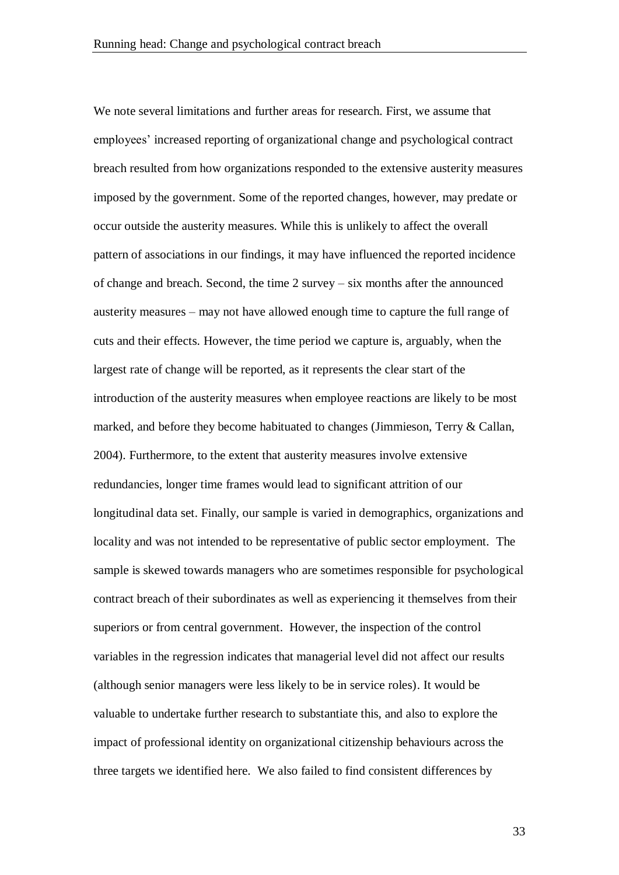We note several limitations and further areas for research. First, we assume that employees' increased reporting of organizational change and psychological contract breach resulted from how organizations responded to the extensive austerity measures imposed by the government. Some of the reported changes, however, may predate or occur outside the austerity measures. While this is unlikely to affect the overall pattern of associations in our findings, it may have influenced the reported incidence of change and breach. Second, the time 2 survey – six months after the announced austerity measures – may not have allowed enough time to capture the full range of cuts and their effects. However, the time period we capture is, arguably, when the largest rate of change will be reported, as it represents the clear start of the introduction of the austerity measures when employee reactions are likely to be most marked, and before they become habituated to changes (Jimmieson, Terry & Callan, 2004). Furthermore, to the extent that austerity measures involve extensive redundancies, longer time frames would lead to significant attrition of our longitudinal data set. Finally, our sample is varied in demographics, organizations and locality and was not intended to be representative of public sector employment. The sample is skewed towards managers who are sometimes responsible for psychological contract breach of their subordinates as well as experiencing it themselves from their superiors or from central government. However, the inspection of the control variables in the regression indicates that managerial level did not affect our results (although senior managers were less likely to be in service roles). It would be valuable to undertake further research to substantiate this, and also to explore the impact of professional identity on organizational citizenship behaviours across the three targets we identified here. We also failed to find consistent differences by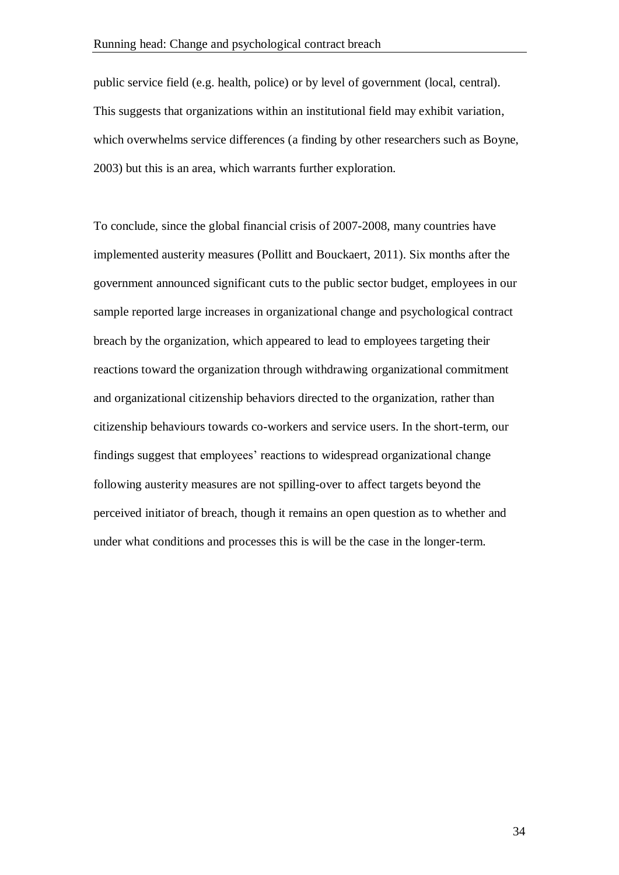public service field (e.g. health, police) or by level of government (local, central). This suggests that organizations within an institutional field may exhibit variation, which overwhelms service differences (a finding by other researchers such as Boyne, 2003) but this is an area, which warrants further exploration.

To conclude, since the global financial crisis of 2007-2008, many countries have implemented austerity measures (Pollitt and Bouckaert, 2011). Six months after the government announced significant cuts to the public sector budget, employees in our sample reported large increases in organizational change and psychological contract breach by the organization, which appeared to lead to employees targeting their reactions toward the organization through withdrawing organizational commitment and organizational citizenship behaviors directed to the organization, rather than citizenship behaviours towards co-workers and service users. In the short-term, our findings suggest that employees' reactions to widespread organizational change following austerity measures are not spilling-over to affect targets beyond the perceived initiator of breach, though it remains an open question as to whether and under what conditions and processes this is will be the case in the longer-term.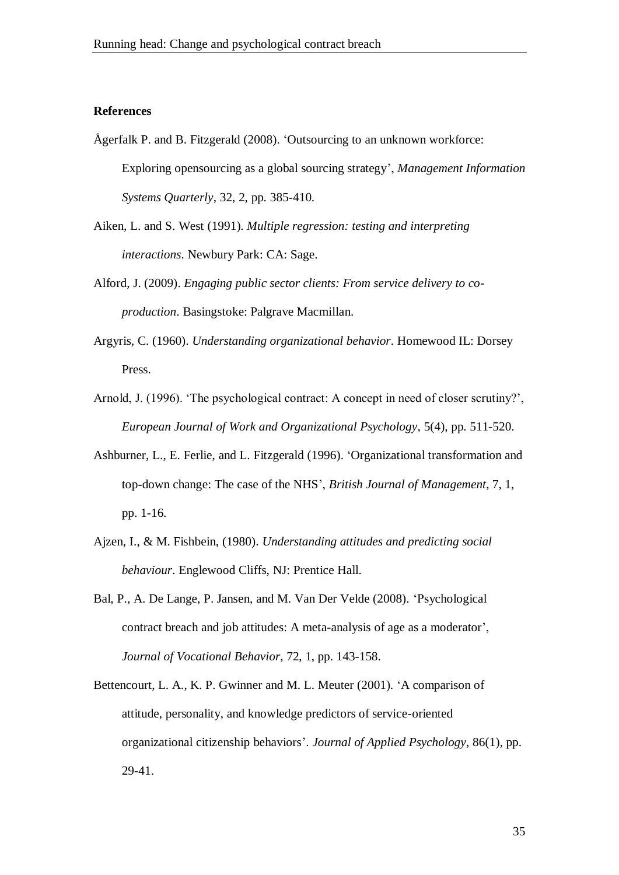#### **References**

- Ågerfalk P. and B. Fitzgerald (2008). 'Outsourcing to an unknown workforce: Exploring opensourcing as a global sourcing strategy', *Management Information Systems Quarterly*, 32, 2, pp. 385-410.
- Aiken, L. and S. West (1991). *Multiple regression: testing and interpreting interactions*. Newbury Park: CA: Sage.
- Alford, J. (2009). *Engaging public sector clients: From service delivery to coproduction*. Basingstoke: Palgrave Macmillan.
- Argyris, C. (1960). *Understanding organizational behavior*. Homewood IL: Dorsey Press.
- Arnold, J. (1996). 'The psychological contract: A concept in need of closer scrutiny?', *European Journal of Work and Organizational Psychology*, 5(4), pp. 511-520.
- Ashburner, L., E. Ferlie, and L. Fitzgerald (1996). 'Organizational transformation and top-down change: The case of the NHS', *British Journal of Management*, 7, 1, pp. 1-16.
- Ajzen, I., & M. Fishbein, (1980). *Understanding attitudes and predicting social behaviour*. Englewood Cliffs, NJ: Prentice Hall.
- Bal, P., A. De Lange, P. Jansen, and M. Van Der Velde (2008). 'Psychological contract breach and job attitudes: A meta-analysis of age as a moderator', *Journal of Vocational Behavior*, 72, 1, pp. 143-158.
- Bettencourt, L. A., K. P. Gwinner and M. L. Meuter (2001). 'A comparison of attitude, personality, and knowledge predictors of service-oriented organizational citizenship behaviors'. *Journal of Applied Psychology*, 86(1), pp. 29-41.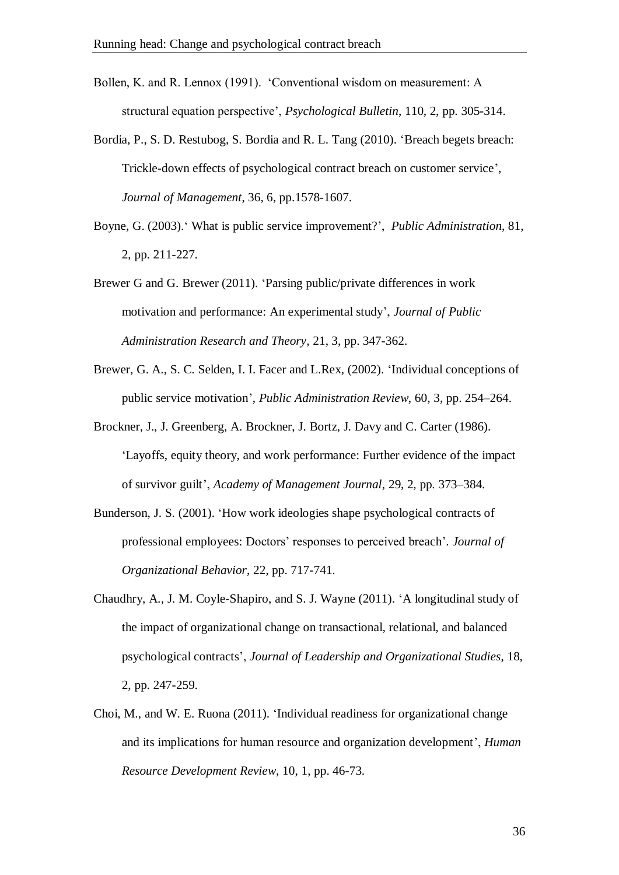Bollen, K. and R. Lennox (1991). 'Conventional wisdom on measurement: A structural equation perspective', *Psychological Bulletin*, 110, 2, pp. 305-314.

- Bordia, P., S. D. Restubog, S. Bordia and R. L. Tang (2010). 'Breach begets breach: Trickle-down effects of psychological contract breach on customer service', *Journal of Management*, 36, 6, pp.1578-1607.
- Boyne, G. (2003).' What is public service improvement?', *Public Administration*, 81, 2, pp. 211-227.
- Brewer G and G. Brewer (2011). 'Parsing public/private differences in work motivation and performance: An experimental study', *Journal of Public Administration Research and Theory,* 21, 3, pp. 347-362.
- Brewer, G. A., S. C. Selden, I. I. Facer and L.Rex, (2002). 'Individual conceptions of public service motivation', *Public Administration Review*, 60, 3, pp. 254–264.
- Brockner, J., J. Greenberg, A. Brockner, J. Bortz, J. Davy and C. Carter (1986). 'Layoffs, equity theory, and work performance: Further evidence of the impact of survivor guilt', *Academy of Management Journal*, 29, 2, pp. 373–384.
- Bunderson, J. S. (2001). 'How work ideologies shape psychological contracts of professional employees: Doctors' responses to perceived breach'. *Journal of Organizational Behavior*, 22, pp. 717-741.
- Chaudhry, A., J. M. Coyle-Shapiro, and S. J. Wayne (2011). 'A longitudinal study of the impact of organizational change on transactional, relational, and balanced psychological contracts', *Journal of Leadership and Organizational Studies*, 18, 2, pp. 247-259.
- Choi, M., and W. E. Ruona (2011). 'Individual readiness for organizational change and its implications for human resource and organization development', *Human Resource Development Review*, 10, 1, pp. 46-73.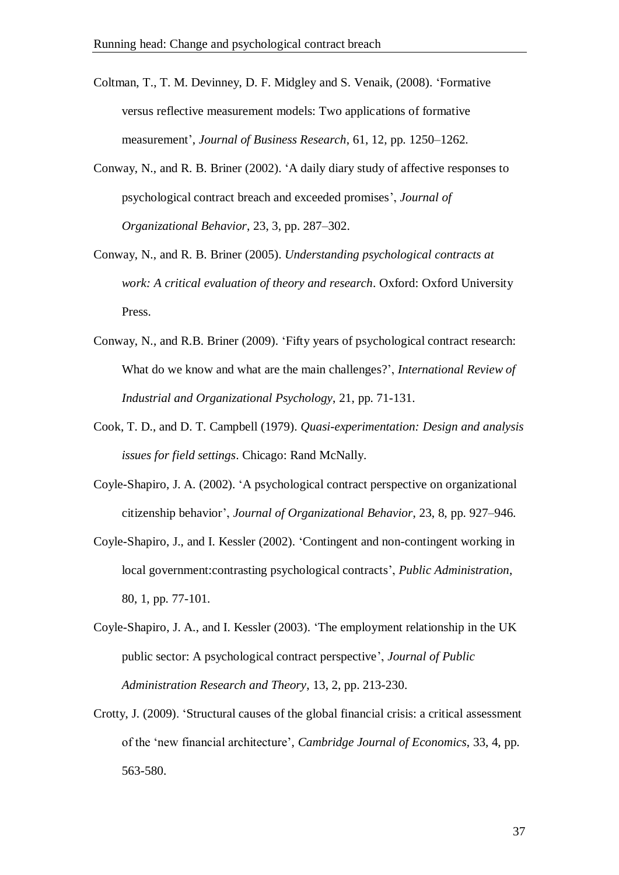Coltman, T., T. M. Devinney, D. F. Midgley and S. Venaik, (2008). 'Formative versus reflective measurement models: Two applications of formative measurement', *Journal of Business Research*, 61, 12, pp. 1250–1262.

- Conway, N., and R. B. Briner (2002). 'A daily diary study of affective responses to psychological contract breach and exceeded promises', *Journal of Organizational Behavior*, 23, 3, pp. 287–302.
- Conway, N., and R. B. Briner (2005). *Understanding psychological contracts at work: A critical evaluation of theory and research*. Oxford: Oxford University Press.
- Conway, N., and R.B. Briner (2009). 'Fifty years of psychological contract research: What do we know and what are the main challenges?', *International Review of Industrial and Organizational Psychology*, 21, pp. 71-131.
- Cook, T. D., and D. T. Campbell (1979). *Quasi-experimentation: Design and analysis issues for field settings*. Chicago: Rand McNally.
- Coyle-Shapiro, J. A. (2002). 'A psychological contract perspective on organizational citizenship behavior', *Journal of Organizational Behavior*, 23, 8, pp. 927–946.
- Coyle-Shapiro, J., and I. Kessler (2002). 'Contingent and non-contingent working in local government:contrasting psychological contracts', *Public Administration*, 80, 1, pp. 77-101.
- Coyle-Shapiro, J. A., and I. Kessler (2003). 'The employment relationship in the UK public sector: A psychological contract perspective', *Journal of Public Administration Research and Theory*, 13, 2, pp. 213-230.
- Crotty, J. (2009). 'Structural causes of the global financial crisis: a critical assessment of the 'new financial architecture', *Cambridge Journal of Economics*, 33, 4, pp. 563-580.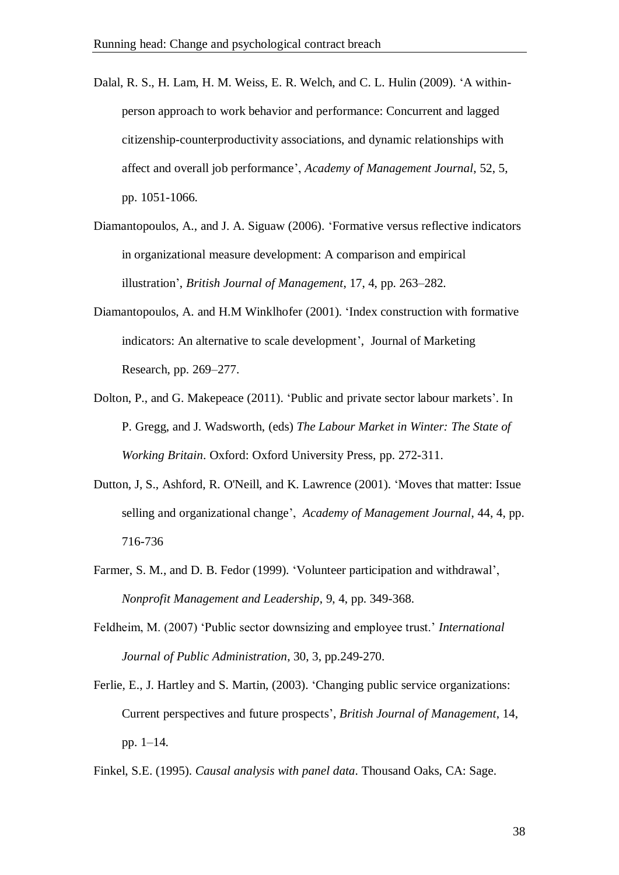- Dalal, R. S., H. Lam, H. M. Weiss, E. R. Welch, and C. L. Hulin (2009). 'A withinperson approach to work behavior and performance: Concurrent and lagged citizenship-counterproductivity associations, and dynamic relationships with affect and overall job performance', *Academy of Management Journal*, 52, 5, pp. 1051-1066.
- Diamantopoulos, A., and J. A. Siguaw (2006). 'Formative versus reflective indicators in organizational measure development: A comparison and empirical illustration', *British Journal of Management*, 17, 4, pp. 263–282.
- Diamantopoulos, A. and H.M Winklhofer (2001). 'Index construction with formative indicators: An alternative to scale development', Journal of Marketing Research, pp. 269–277.
- Dolton, P., and G. Makepeace (2011). 'Public and private sector labour markets'. In P. Gregg, and J. Wadsworth, (eds) *The Labour Market in Winter: The State of Working Britain*. Oxford: Oxford University Press, pp. 272-311.
- Dutton, J, S., Ashford, R. O'Neill, and K. Lawrence (2001). 'Moves that matter: Issue selling and organizational change', *Academy of Management Journal*, 44, 4, pp. 716-736
- Farmer, S. M., and D. B. Fedor (1999). 'Volunteer participation and withdrawal', *Nonprofit Management and Leadership*, 9, 4, pp. 349-368.
- Feldheim, M. (2007) 'Public sector downsizing and employee trust.' *International Journal of Public Administration*, 30, 3, pp.249-270.
- Ferlie, E., J. Hartley and S. Martin, (2003). 'Changing public service organizations: Current perspectives and future prospects', *British Journal of Management*, 14, pp. 1–14.
- Finkel, S.E. (1995). *Causal analysis with panel data*. Thousand Oaks, CA: Sage.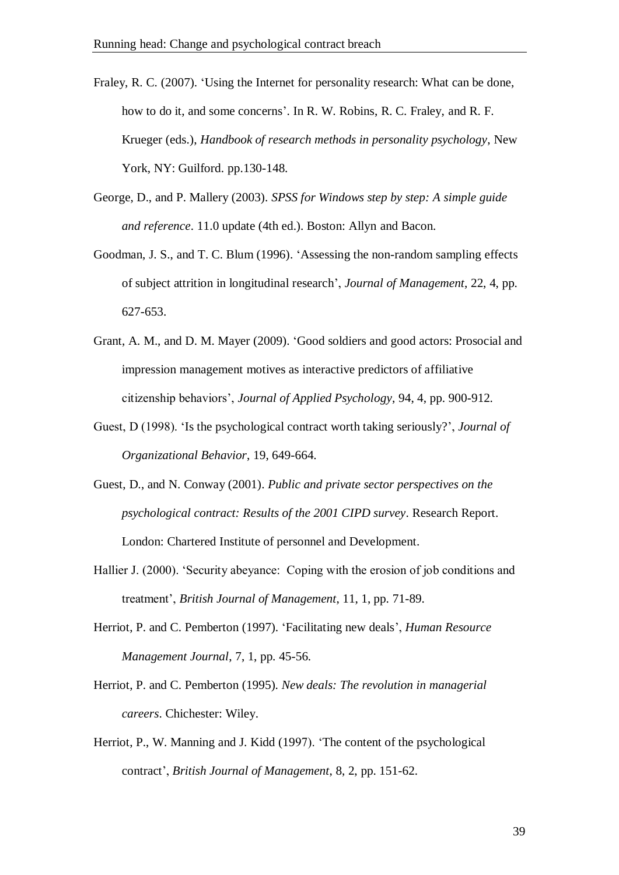- Fraley, R. C. (2007). 'Using the Internet for personality research: What can be done, how to do it, and some concerns'. In R. W. Robins, R. C. Fraley, and R. F. Krueger (eds.), *Handbook of research methods in personality psychology*, New York, NY: Guilford. pp.130-148.
- George, D., and P. Mallery (2003). *SPSS for Windows step by step: A simple guide and reference*. 11.0 update (4th ed.). Boston: Allyn and Bacon.
- Goodman, J. S., and T. C. Blum (1996). 'Assessing the non-random sampling effects of subject attrition in longitudinal research', *Journal of Management*, 22, 4, pp. 627-653.
- Grant, A. M., and D. M. Mayer (2009). 'Good soldiers and good actors: Prosocial and impression management motives as interactive predictors of affiliative citizenship behaviors', *Journal of Applied Psychology*, 94, 4, pp. 900-912.
- Guest, D (1998). 'Is the psychological contract worth taking seriously?', *Journal of Organizational Behavior*, 19, 649-664.
- Guest, D., and N. Conway (2001). *Public and private sector perspectives on the psychological contract: Results of the 2001 CIPD survey*. Research Report. London: Chartered Institute of personnel and Development.
- Hallier J. (2000). 'Security abeyance: Coping with the erosion of job conditions and treatment', *British Journal of Management*, 11, 1, pp. 71-89.
- Herriot, P. and C. Pemberton (1997). 'Facilitating new deals', *Human Resource Management Journal*, 7, 1, pp. 45-56.
- Herriot, P. and C. Pemberton (1995). *New deals: The revolution in managerial careers*. Chichester: Wiley.
- Herriot, P., W. Manning and J. Kidd (1997). 'The content of the psychological contract', *British Journal of Management*, 8, 2, pp. 151-62.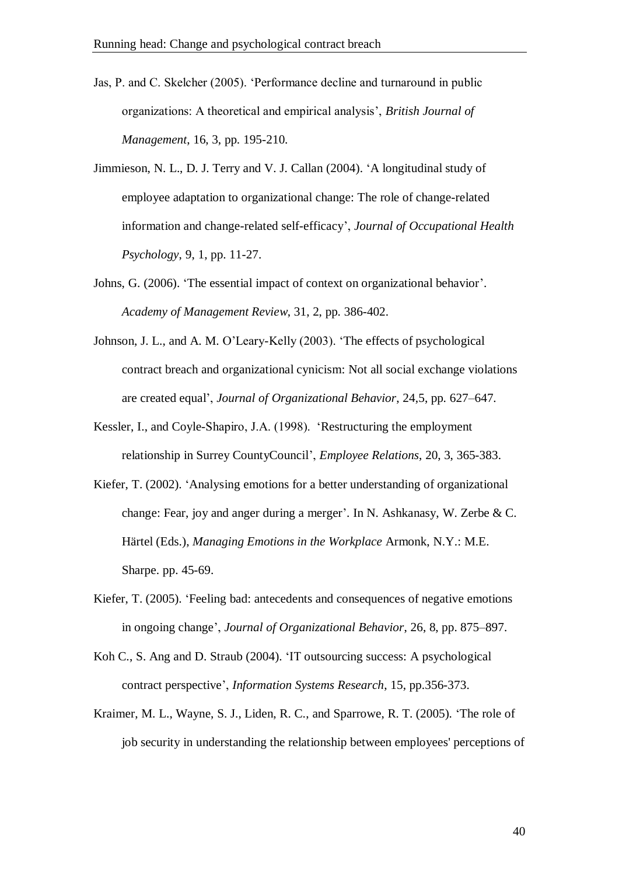- Jas, P. and C. Skelcher (2005). 'Performance decline and turnaround in public organizations: A theoretical and empirical analysis', *British Journal of Management*, 16, 3, pp. 195-210.
- Jimmieson, N. L., D. J. Terry and V. J. Callan (2004). 'A longitudinal study of employee adaptation to organizational change: The role of change-related information and change-related self-efficacy', *Journal of Occupational Health Psychology*, 9, 1, pp. 11-27.
- Johns, G. (2006). 'The essential impact of context on organizational behavior'. *Academy of Management Review*, 31, 2, pp. 386-402.
- Johnson, J. L., and A. M. O'Leary-Kelly (2003). 'The effects of psychological contract breach and organizational cynicism: Not all social exchange violations are created equal', *Journal of Organizational Behavior*, 24,5, pp. 627–647.
- Kessler, I., and Coyle-Shapiro, J.A. (1998). 'Restructuring the employment relationship in Surrey CountyCouncil', *Employee Relations*, 20, 3, 365-383.
- Kiefer, T. (2002). 'Analysing emotions for a better understanding of organizational change: Fear, joy and anger during a merger'. In N. Ashkanasy, W. Zerbe & C. Härtel (Eds.), *Managing Emotions in the Workplace* Armonk, N.Y.: M.E. Sharpe. pp. 45-69.
- Kiefer, T. (2005). 'Feeling bad: antecedents and consequences of negative emotions in ongoing change', *Journal of Organizational Behavior*, 26, 8, pp. 875–897.
- Koh C., S. Ang and D. Straub (2004). 'IT outsourcing success: A psychological contract perspective', *Information Systems Research*, 15, pp.356-373.
- Kraimer, M. L., Wayne, S. J., Liden, R. C., and Sparrowe, R. T. (2005). 'The role of job security in understanding the relationship between employees' perceptions of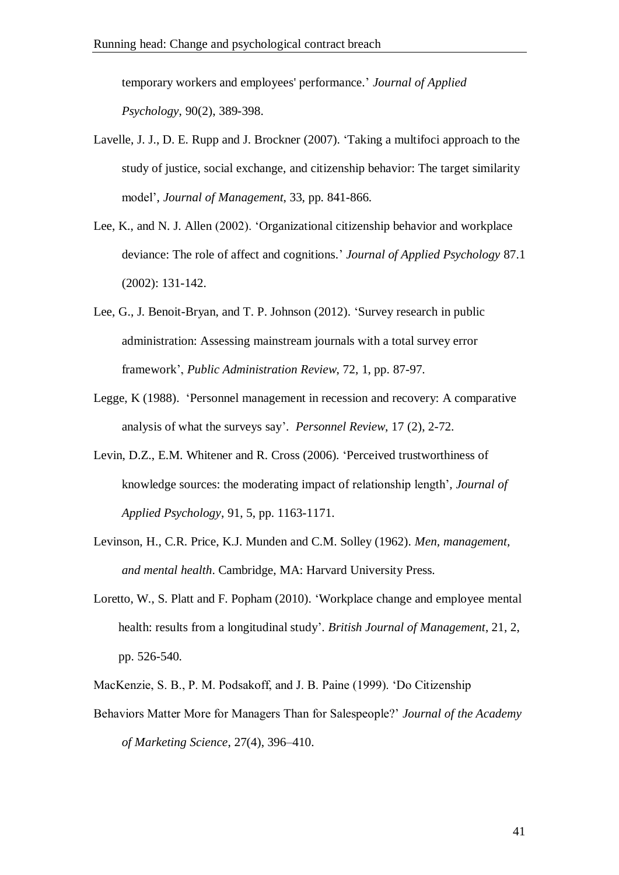temporary workers and employees' performance.' *Journal of Applied Psychology*, 90(2), 389-398.

- Lavelle, J. J., D. E. Rupp and J. Brockner (2007). 'Taking a multifoci approach to the study of justice, social exchange, and citizenship behavior: The target similarity model', *Journal of Management*, 33, pp. 841-866.
- Lee, K., and N. J. Allen (2002). 'Organizational citizenship behavior and workplace deviance: The role of affect and cognitions.' *Journal of Applied Psychology* 87.1 (2002): 131-142.
- Lee, G., J. Benoit-Bryan, and T. P. Johnson (2012). 'Survey research in public administration: Assessing mainstream journals with a total survey error framework', *Public Administration Review*, 72, 1, pp. 87-97.
- Legge, K (1988). 'Personnel management in recession and recovery: A comparative analysis of what the surveys say'. *Personnel Review*, 17 (2), 2-72.
- Levin, D.Z., E.M. Whitener and R. Cross (2006). 'Perceived trustworthiness of knowledge sources: the moderating impact of relationship length'*, Journal of Applied Psychology*, 91, 5, pp. 1163-1171.
- Levinson, H., C.R. Price, K.J. Munden and C.M. Solley (1962). *Men, management, and mental health*. Cambridge, MA: Harvard University Press.
- Loretto, W., S. Platt and F. Popham (2010). 'Workplace change and employee mental health: results from a longitudinal study'. *British Journal of Management*, 21, 2, pp. 526-540.
- MacKenzie, S. B., P. M. Podsakoff, and J. B. Paine (1999). 'Do Citizenship
- Behaviors Matter More for Managers Than for Salespeople?' *Journal of the Academy of Marketing Science*, 27(4), 396–410.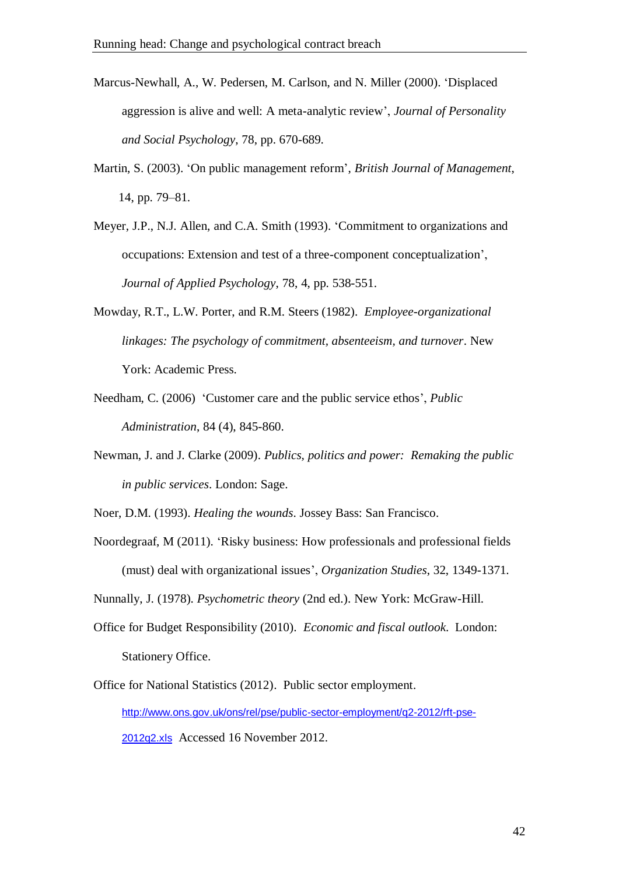- Marcus-Newhall, A., W. Pedersen, M. Carlson, and N. Miller (2000). 'Displaced aggression is alive and well: A meta-analytic review', *Journal of Personality and Social Psychology*, 78, pp. 670-689.
- Martin, S. (2003). 'On public management reform', *British Journal of Management*, 14, pp. 79–81.
- Meyer, J.P., N.J. Allen, and C.A. Smith (1993). 'Commitment to organizations and occupations: Extension and test of a three-component conceptualization', *Journal of Applied Psychology*, 78, 4, pp. 538-551.
- Mowday, R.T., L.W. Porter, and R.M. Steers (1982). *Employee-organizational linkages: The psychology of commitment, absenteeism, and turnover*. New York: Academic Press.
- Needham, C. (2006) 'Customer care and the public service ethos', *Public Administration*, 84 (4), 845-860.
- Newman, J. and J. Clarke (2009). *Publics, politics and power: Remaking the public in public services*. London: Sage.
- Noer, D.M. (1993). *Healing the wounds*. Jossey Bass: San Francisco.
- Noordegraaf, M (2011). 'Risky business: How professionals and professional fields (must) deal with organizational issues', *Organization Studies*, 32, 1349-1371.

Nunnally, J. (1978). *Psychometric theory* (2nd ed.). New York: McGraw-Hill.

- Office for Budget Responsibility (2010). *Economic and fiscal outlook*. London: Stationery Office.
- Office for National Statistics (2012). Public sector employment. [http://www.ons.gov.uk/ons/rel/pse/public-sector-employment/q2-2012/rft-pse-](https://db3prd0104.outlook.com/owa/redir.aspx?C=tfY7UejrVkmbogHFJnNQU-ok1KKXms8IxevXesTFx-SYvPlfEbGdL25TBnl3HxZZmjLtyBfHpIo.&URL=http%3a%2f%2fwww.ons.gov.uk%2fons%2frel%2fpse%2fpublic-sector-employment%2fq2-2012%2frft-pse-2012q2.xls)[2012q2.xls](https://db3prd0104.outlook.com/owa/redir.aspx?C=tfY7UejrVkmbogHFJnNQU-ok1KKXms8IxevXesTFx-SYvPlfEbGdL25TBnl3HxZZmjLtyBfHpIo.&URL=http%3a%2f%2fwww.ons.gov.uk%2fons%2frel%2fpse%2fpublic-sector-employment%2fq2-2012%2frft-pse-2012q2.xls) Accessed 16 November 2012.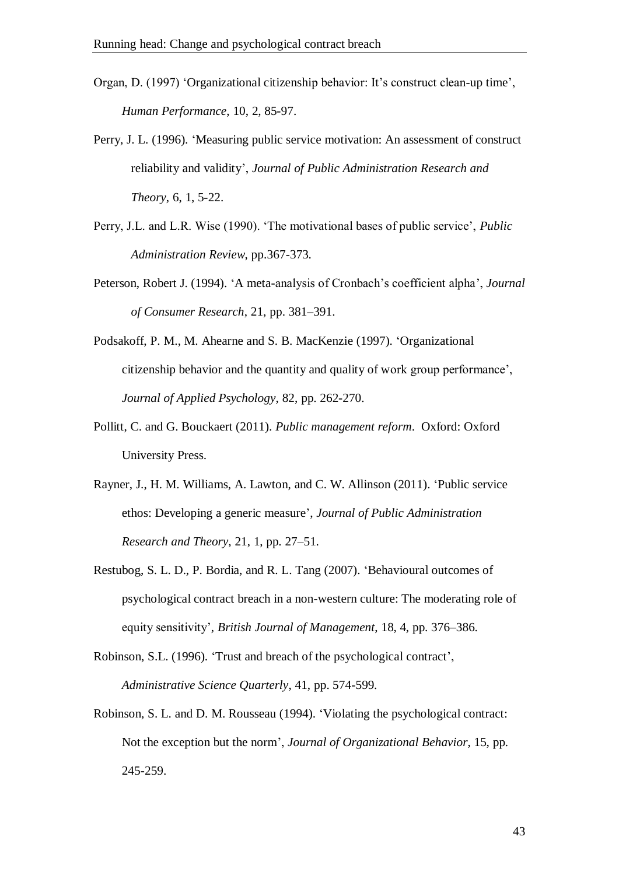- Organ, D. (1997) 'Organizational citizenship behavior: It's construct clean-up time', *Human Performance*, 10, 2, 85-97.
- Perry, J. L. (1996). 'Measuring public service motivation: An assessment of construct reliability and validity', *Journal of Public Administration Research and Theory*, 6, 1, 5-22.
- Perry, J.L. and L.R. Wise (1990). 'The motivational bases of public service', *Public Administration Review*, pp.367-373.
- Peterson, Robert J. (1994). 'A meta-analysis of Cronbach's coefficient alpha', *Journal of Consumer Research*, 21, pp. 381–391.
- Podsakoff, P. M., M. Ahearne and S. B. MacKenzie (1997). 'Organizational citizenship behavior and the quantity and quality of work group performance', *Journal of Applied Psychology*, 82, pp. 262-270.
- Pollitt, C. and G. Bouckaert (2011). *Public management reform*. Oxford: Oxford University Press.
- Rayner, J., H. M. Williams, A. Lawton, and C. W. Allinson (2011). 'Public service ethos: Developing a generic measure', *Journal of Public Administration Research and Theory*, 21, 1, pp. 27–51.
- Restubog, S. L. D., P. Bordia, and R. L. Tang (2007). 'Behavioural outcomes of psychological contract breach in a non-western culture: The moderating role of equity sensitivity', *British Journal of Management*, 18, 4, pp. 376–386.
- Robinson, S.L. (1996). 'Trust and breach of the psychological contract', *Administrative Science Quarterly*, 41, pp. 574-599.
- Robinson, S. L. and D. M. Rousseau (1994). 'Violating the psychological contract: Not the exception but the norm', *Journal of Organizational Behavior*, 15, pp. 245-259.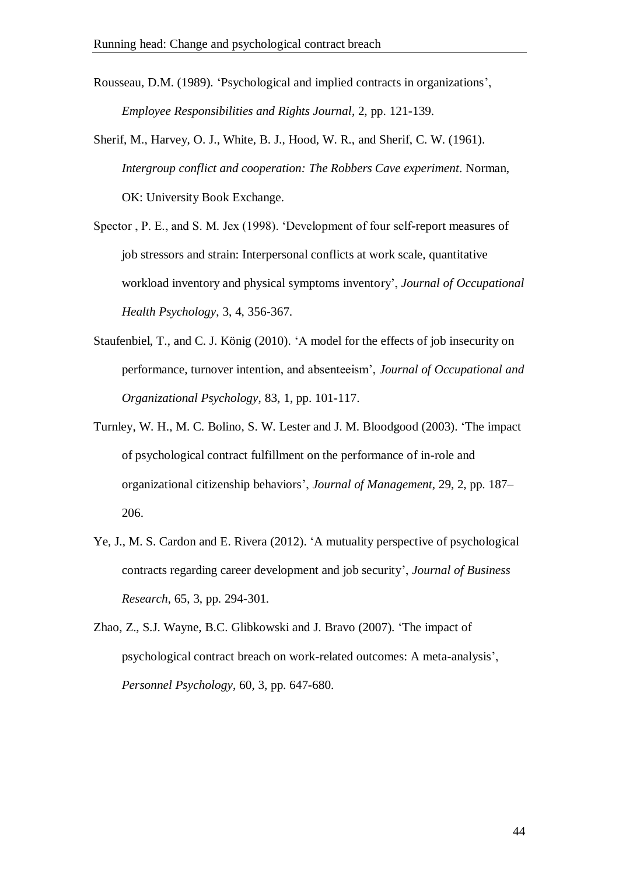Rousseau, D.M. (1989). 'Psychological and implied contracts in organizations', *Employee Responsibilities and Rights Journal*, 2, pp. 121-139.

- Sherif, M., Harvey, O. J., White, B. J., Hood, W. R., and Sherif, C. W. (1961). *Intergroup conflict and cooperation: The Robbers Cave experiment*. Norman, OK: University Book Exchange.
- Spector , P. E., and S. M. Jex (1998). 'Development of four self-report measures of job stressors and strain: Interpersonal conflicts at work scale, quantitative workload inventory and physical symptoms inventory', *Journal of Occupational Health Psychology*, 3, 4, 356-367.
- Staufenbiel, T., and C. J. König (2010). 'A model for the effects of job insecurity on performance, turnover intention, and absenteeism', *Journal of Occupational and Organizational Psychology*, 83, 1, pp. 101-117.
- Turnley, W. H., M. C. Bolino, S. W. Lester and J. M. Bloodgood (2003). 'The impact of psychological contract fulfillment on the performance of in-role and organizational citizenship behaviors', *Journal of Management*, 29, 2, pp. 187– 206.
- Ye, J., M. S. Cardon and E. Rivera (2012). 'A mutuality perspective of psychological contracts regarding career development and job security', *Journal of Business Research*, 65, 3, pp. 294-301.
- Zhao, Z., S.J. Wayne, B.C. Glibkowski and J. Bravo (2007). 'The impact of psychological contract breach on work-related outcomes: A meta-analysis', *Personnel Psychology*, 60, 3, pp. 647-680.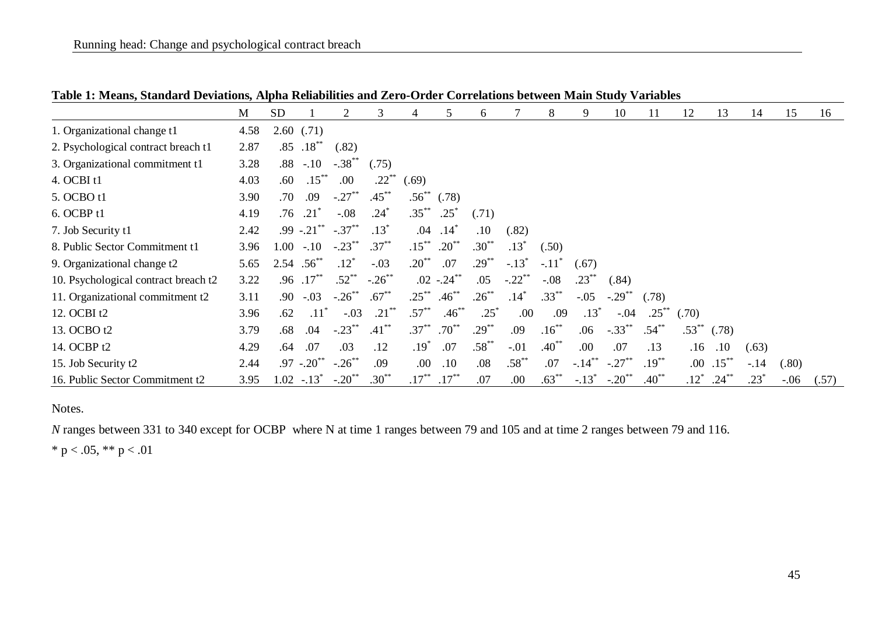|                                      | M    | <b>SD</b>         |               |                      | 3          | 4               |                | 6          |           | 8                   | 9                   | 10                   | 11         | 12         | 13       | 14      | 15      | 16    |
|--------------------------------------|------|-------------------|---------------|----------------------|------------|-----------------|----------------|------------|-----------|---------------------|---------------------|----------------------|------------|------------|----------|---------|---------|-------|
| 1. Organizational change t1          | 4.58 |                   | 2.60(0.71)    |                      |            |                 |                |            |           |                     |                     |                      |            |            |          |         |         |       |
| 2. Psychological contract breach t1  | 2.87 | .85               | $.18***$      | (.82)                |            |                 |                |            |           |                     |                     |                      |            |            |          |         |         |       |
| 3. Organizational commitment t1      | 3.28 |                   | $.88 - .10$   | $-.38$ <sup>**</sup> | (.75)      |                 |                |            |           |                     |                     |                      |            |            |          |         |         |       |
| 4. OCBI t1                           | 4.03 | .60               | $.15***$      | .00                  | $.22***$   | (.69)           |                |            |           |                     |                     |                      |            |            |          |         |         |       |
| 5. OCBO t1                           | 3.90 | .70               | .09           | $-.27***$            | $.45***$   | $.56^{\degree}$ | (.78)          |            |           |                     |                     |                      |            |            |          |         |         |       |
| 6. OCBP <sub>t1</sub>                | 4.19 | .76               | .21           | $-.08$               | $.24^\ast$ | $.35***$        | $.25^*$        | (.71)      |           |                     |                     |                      |            |            |          |         |         |       |
| 7. Job Security t1                   | 2.42 |                   | $.99-.21***$  | $-.37***$            | $.13*$     | .04             | .14            | .10        | (.82)     |                     |                     |                      |            |            |          |         |         |       |
| 8. Public Sector Commitment t1       | 3.96 | $1.00\,$          | $-.10$        | $-.23$               | $.37***$   | $.15***$        | $.20^{**}$     | $.30^{**}$ | $.13*$    | (.50)               |                     |                      |            |            |          |         |         |       |
| 9. Organizational change t2          | 5.65 | $2.54$ $.56^{**}$ |               | $.12^*$              | $-.03$     | $.20^{**}$      | .07            | $.29***$   | $-.13*$   | $-.11$ <sup>*</sup> | (.67)               |                      |            |            |          |         |         |       |
| 10. Psychological contract breach t2 | 3.22 | .96               | $.17***$      | $.52^{**}$           | $-.26$ **  |                 | $.02 - .24$ ** | .05        | $-.22$ ** | $-.08$              | $.23***$            | (.84)                |            |            |          |         |         |       |
| 11. Organizational commitment t2     | 3.11 | .90               | $-.03$        | $-.26$ **            | $.67***$   | $.25***$        | $.46***$       | $.26***$   | $.14*$    | $.33***$            | $-.05$              | $-.29$ <sup>**</sup> | (.78)      |            |          |         |         |       |
| 12. OCBI t2                          | 3.96 | .62               | $.11^\circ$   | $-.03$               | $.21***$   | $.57***$        | $.46***$       | $.25*$     | .00       | .09                 | $.13^{\circ}$       | $-.04$               | $.25^{**}$ | (.70)      |          |         |         |       |
| 13. OCBO t2                          | 3.79 | .68               | .04           | $-.23$ **            | $.41***$   | $.37***$        | $.70^{**}$     | $.29***$   | .09       | $.16***$            | .06                 | $-.33***$            | $.54***$   | $.53^{**}$ | (.78)    |         |         |       |
| 14. OCBP t2                          | 4.29 | .64               | .07           | .03                  | .12        | $.19*$          | .07            | $.58***$   | $-.01$    | $.40^{**}$          | .00                 | .07                  | .13        | .16        | .10      | (.63)   |         |       |
| 15. Job Security t2                  | 2.44 |                   | $.97-.20$ **  | $-.26$ <sup>**</sup> | .09        | .00             | .10            | .08        | $.58***$  | .07                 | $-.14$ <sup>*</sup> | $-.27$               | $.19***$   | .00.       | $.15***$ | $-14$   | (.80)   |       |
| 16. Public Sector Commitment t2      | 3.95 |                   | $1.02 - 13^*$ | $-.20$ <sup>**</sup> | $.30***$   | $.17***$        | $.17***$       | .07        | .00       | $.63***$            | $-.13*$             | $-.20$ <sup>**</sup> | $.40**$    | $.12*$     | $.24***$ | $.23^*$ | $-0.06$ | (.57) |

**Table 1: Means, Standard Deviations, Alpha Reliabilities and Zero-Order Correlations between Main Study Variables**

Notes.

*N* ranges between 331 to 340 except for OCBP where N at time 1 ranges between 79 and 105 and at time 2 ranges between 79 and 116.

\* p < .05, \*\* p < .01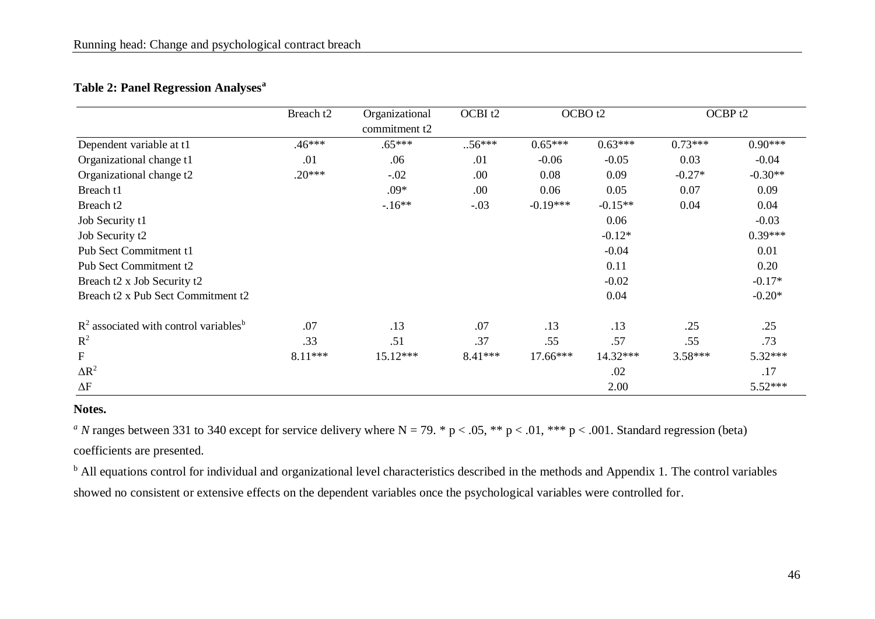| <b>Table 2: Panel Regression Analyses<sup>a</sup></b> |  |  |
|-------------------------------------------------------|--|--|
|-------------------------------------------------------|--|--|

|                                                     | Breach t2 | OCBI <sub>t2</sub><br>Organizational<br>OCBO <sub>t2</sub><br>commitment t2 |           |            | OCBP <sub>t2</sub> |           |           |
|-----------------------------------------------------|-----------|-----------------------------------------------------------------------------|-----------|------------|--------------------|-----------|-----------|
| Dependent variable at t1                            | $.46***$  | $.65***$                                                                    | $.56***$  | $0.65***$  | $0.63***$          | $0.73***$ | $0.90***$ |
| Organizational change t1                            | .01       | .06                                                                         | .01       | $-0.06$    | $-0.05$            | 0.03      | $-0.04$   |
| Organizational change t2                            | $.20***$  | $-.02$                                                                      | .00       | 0.08       | 0.09               | $-0.27*$  | $-0.30**$ |
| Breach t1                                           |           | $.09*$                                                                      | .00       | 0.06       | 0.05               | 0.07      | 0.09      |
| Breach t2                                           |           | $-16**$                                                                     | $-.03$    | $-0.19***$ | $-0.15**$          | 0.04      | 0.04      |
| Job Security t1                                     |           |                                                                             |           |            | 0.06               |           | $-0.03$   |
| Job Security t2                                     |           |                                                                             |           |            | $-0.12*$           |           | $0.39***$ |
| Pub Sect Commitment t1                              |           |                                                                             |           |            | $-0.04$            |           | 0.01      |
| Pub Sect Commitment t2                              |           |                                                                             |           |            | 0.11               |           | 0.20      |
| Breach t2 x Job Security t2                         |           |                                                                             |           |            | $-0.02$            |           | $-0.17*$  |
| Breach t2 x Pub Sect Commitment t2                  |           |                                                                             |           |            | 0.04               |           | $-0.20*$  |
| $R2$ associated with control variables <sup>b</sup> | .07       | .13                                                                         | .07       | .13        | .13                | .25       | .25       |
| $R^2$                                               | .33       | .51                                                                         | .37       | .55        | .57                | .55       | .73       |
| $\mathbf{F}$                                        | $8.11***$ | 15.12***                                                                    | $8.41***$ | $17.66***$ | 14.32***           | $3.58***$ | $5.32***$ |
| $\Delta R^2$                                        |           |                                                                             |           |            | .02                |           | .17       |
| $\Delta F$                                          |           |                                                                             |           |            | 2.00               |           | 5.52***   |

#### **Notes.**

<sup>*a*</sup> *N* ranges between 331 to 340 except for service delivery where N = 79.  $*$  p < .05,  $*$  p < .01,  $*$   $*$  p < .001. Standard regression (beta) coefficients are presented.

<sup>b</sup> All equations control for individual and organizational level characteristics described in the methods and Appendix 1. The control variables showed no consistent or extensive effects on the dependent variables once the psychological variables were controlled for.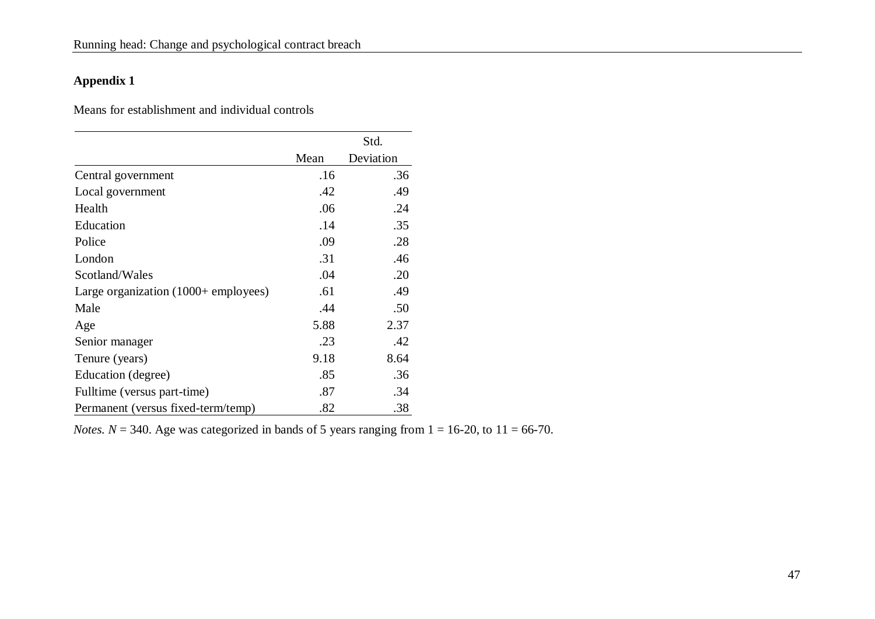### **Appendix 1**

Means for establishment and individual controls

|                                               |      | Std.      |
|-----------------------------------------------|------|-----------|
|                                               | Mean | Deviation |
| Central government                            | .16  | .36       |
| Local government                              | .42  | .49       |
| Health                                        | .06  | .24       |
| Education                                     | .14  | .35       |
| Police                                        | .09  | .28       |
| London                                        | .31  | .46       |
| Scotland/Wales                                | .04  | .20       |
| Large organization $(1000 + \text{employee})$ | .61  | .49       |
| Male                                          | .44  | .50       |
| Age                                           | 5.88 | 2.37      |
| Senior manager                                | .23  | .42       |
| Tenure (years)                                | 9.18 | 8.64      |
| Education (degree)                            | .85  | .36       |
| Fulltime (versus part-time)                   | .87  | .34       |
| Permanent (versus fixed-term/temp)            | .82  | .38       |

*Notes.*  $N = 340$ . Age was categorized in bands of 5 years ranging from  $1 = 16-20$ , to  $11 = 66-70$ .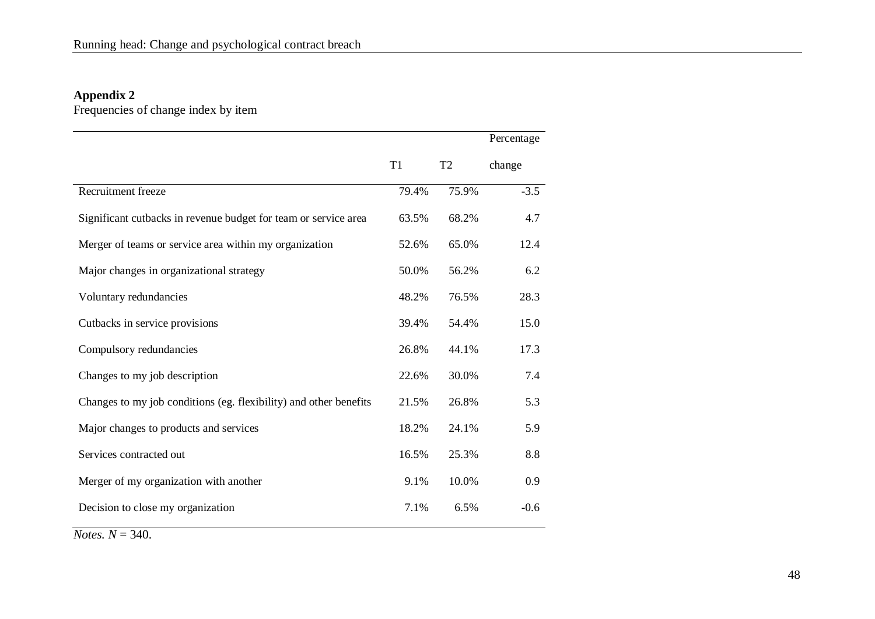#### **Appendix 2**

Frequencies of change index by item

|                                                                   |       |                | Percentage |
|-------------------------------------------------------------------|-------|----------------|------------|
|                                                                   | T1    | T <sub>2</sub> | change     |
| Recruitment freeze                                                | 79.4% | 75.9%          | $-3.5$     |
| Significant cutbacks in revenue budget for team or service area   | 63.5% | 68.2%          | 4.7        |
| Merger of teams or service area within my organization            | 52.6% | 65.0%          | 12.4       |
| Major changes in organizational strategy                          | 50.0% | 56.2%          | 6.2        |
| Voluntary redundancies                                            | 48.2% | 76.5%          | 28.3       |
| Cutbacks in service provisions                                    | 39.4% | 54.4%          | 15.0       |
| Compulsory redundancies                                           | 26.8% | 44.1%          | 17.3       |
| Changes to my job description                                     | 22.6% | 30.0%          | 7.4        |
| Changes to my job conditions (eg. flexibility) and other benefits | 21.5% | 26.8%          | 5.3        |
| Major changes to products and services                            | 18.2% | 24.1%          | 5.9        |
| Services contracted out                                           | 16.5% | 25.3%          | 8.8        |
| Merger of my organization with another                            | 9.1%  | 10.0%          | 0.9        |
| Decision to close my organization                                 | 7.1%  | 6.5%           | $-0.6$     |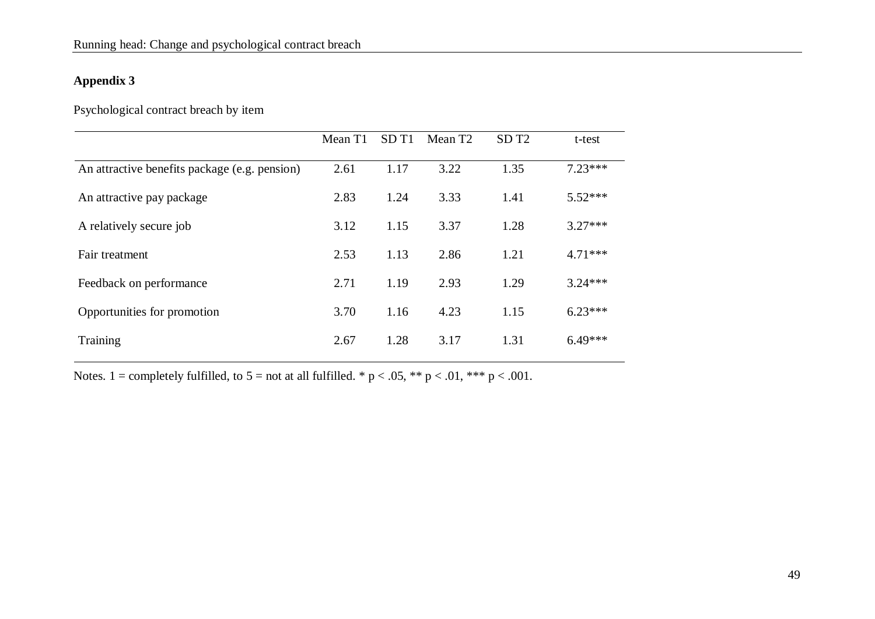### **Appendix 3**

Psychological contract breach by item

|                                               | Mean T1 | SD <sub>T1</sub> | Mean T <sub>2</sub> | SD <sub>T2</sub> | t-test    |
|-----------------------------------------------|---------|------------------|---------------------|------------------|-----------|
| An attractive benefits package (e.g. pension) | 2.61    | 1.17             | 3.22                | 1.35             | $7.23***$ |
| An attractive pay package                     | 2.83    | 1.24             | 3.33                | 1.41             | $5.52***$ |
| A relatively secure job                       | 3.12    | 1.15             | 3.37                | 1.28             | $3.27***$ |
| Fair treatment                                | 2.53    | 1.13             | 2.86                | 1.21             | $4.71***$ |
| Feedback on performance                       | 2.71    | 1.19             | 2.93                | 1.29             | $3.24***$ |
| Opportunities for promotion                   | 3.70    | 1.16             | 4.23                | 1.15             | $6.23***$ |
| Training                                      | 2.67    | 1.28             | 3.17                | 1.31             | $6.49***$ |

Notes. 1 = completely fulfilled, to  $5 =$  not at all fulfilled. \* p < .05, \*\* p < .01, \*\*\* p < .001.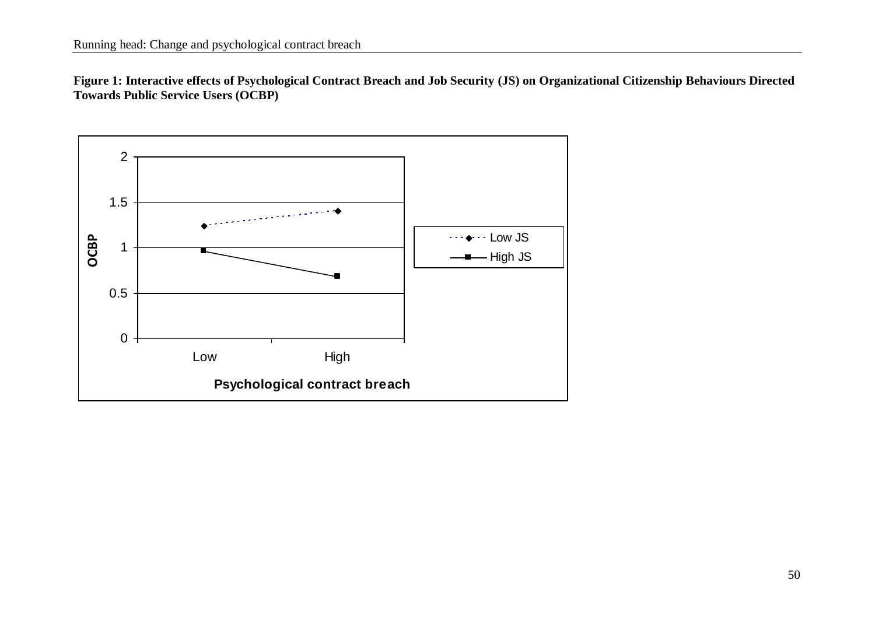**Figure 1: Interactive effects of Psychological Contract Breach and Job Security (JS) on Organizational Citizenship Behaviours Directed Towards Public Service Users (OCBP)**